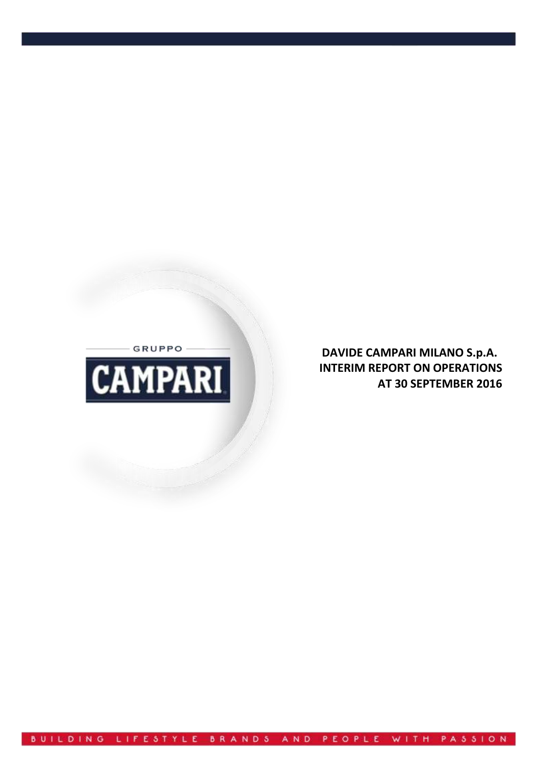- GRUPPO -



**DAVIDE CAMPARI MILANO S.p.A. INTERIM REPORT ON OPERATIONS AT 30 SEPTEMBER 2016**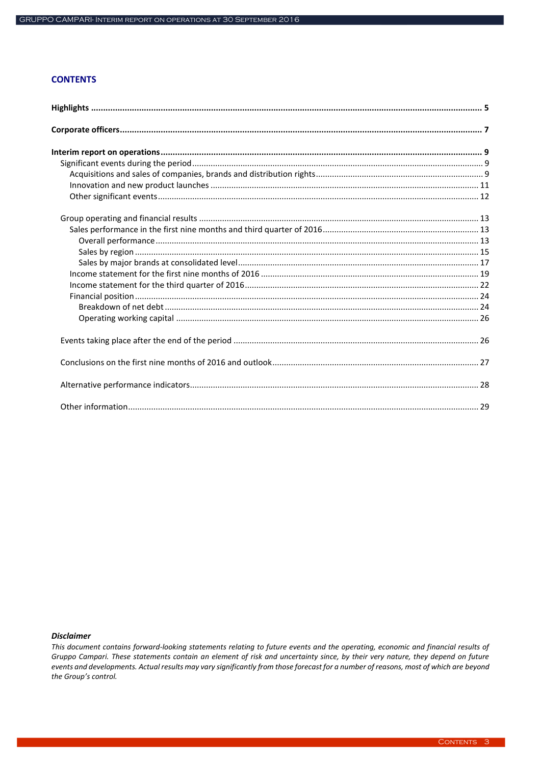# **CONTENTS**

### **Disclaimer**

This document contains forward-looking statements relating to future events and the operating, economic and financial results of Gruppo Campari. These statements contain an element of risk and uncertainty since, by their very nature, they depend on future events and developments. Actual results may vary significantly from those forecast for a number of reasons, most of which are beyond the Group's control.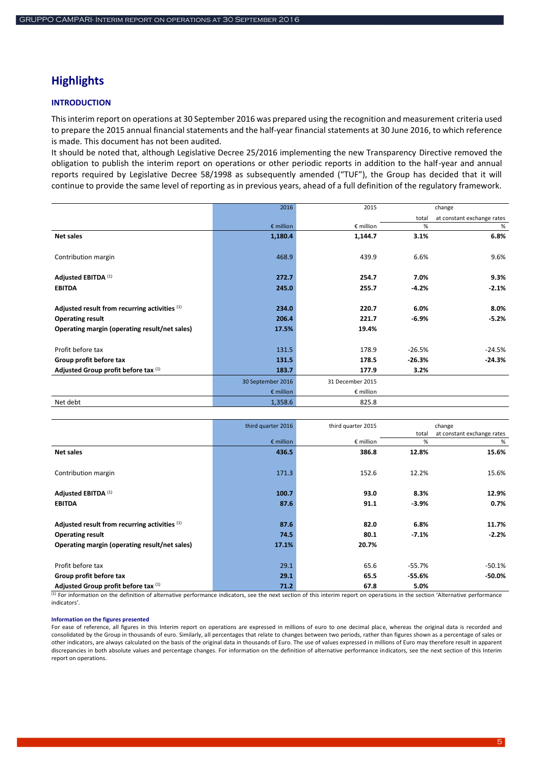# <span id="page-4-0"></span>**Highlights**

### **INTRODUCTION**

This interim report on operations at 30 September 2016 was prepared using the recognition and measurement criteria used to prepare the 2015 annual financial statements and the half-year financial statements at 30 June 2016, to which reference is made. This document has not been audited.

It should be noted that, although Legislative Decree 25/2016 implementing the new Transparency Directive removed the obligation to publish the interim report on operations or other periodic reports in addition to the half-year and annual reports required by Legislative Decree 58/1998 as subsequently amended ("TUF"), the Group has decided that it will continue to provide the same level of reporting as in previous years, ahead of a full definition of the regulatory framework.

|                                               | 2016               | 2015               |          | change                     |
|-----------------------------------------------|--------------------|--------------------|----------|----------------------------|
|                                               |                    |                    | total    | at constant exchange rates |
|                                               | $\epsilon$ million | $\epsilon$ million | %        | %                          |
| Net sales                                     | 1,180.4            | 1,144.7            | 3.1%     | 6.8%                       |
| Contribution margin                           | 468.9              | 439.9              | 6.6%     | 9.6%                       |
| Adjusted EBITDA (1)                           | 272.7              | 254.7              | 7.0%     | 9.3%                       |
| <b>EBITDA</b>                                 | 245.0              | 255.7              | $-4.2%$  | $-2.1%$                    |
| Adjusted result from recurring activities (1) | 234.0              | 220.7              | 6.0%     | 8.0%                       |
| <b>Operating result</b>                       | 206.4              | 221.7              | $-6.9%$  | $-5.2%$                    |
| Operating margin (operating result/net sales) | 17.5%              | 19.4%              |          |                            |
| Profit before tax                             | 131.5              | 178.9              | $-26.5%$ | $-24.5%$                   |
| Group profit before tax                       | 131.5              | 178.5              | $-26.3%$ | $-24.3%$                   |
| Adjusted Group profit before tax (1)          | 183.7              | 177.9              | 3.2%     |                            |
|                                               | 30 September 2016  | 31 December 2015   |          |                            |
|                                               | $\epsilon$ million | $\epsilon$ million |          |                            |
| Net debt                                      | 1,358.6            | 825.8              |          |                            |

|                                               | third quarter 2016 | third quarter 2015 |          | change                     |
|-----------------------------------------------|--------------------|--------------------|----------|----------------------------|
|                                               |                    |                    | total    | at constant exchange rates |
|                                               | $\epsilon$ million | € million          | %        | %                          |
| <b>Net sales</b>                              | 436.5              | 386.8              | 12.8%    | 15.6%                      |
| Contribution margin                           | 171.3              | 152.6              | 12.2%    | 15.6%                      |
| Adjusted EBITDA (1)                           | 100.7              | 93.0               | 8.3%     | 12.9%                      |
| <b>EBITDA</b>                                 | 87.6               | 91.1               | $-3.9%$  | 0.7%                       |
| Adjusted result from recurring activities (1) | 87.6               | 82.0               | 6.8%     | 11.7%                      |
| <b>Operating result</b>                       | 74.5               | 80.1               | $-7.1%$  | $-2.2%$                    |
| Operating margin (operating result/net sales) | 17.1%              | 20.7%              |          |                            |
| Profit before tax                             | 29.1               | 65.6               | $-55.7%$ | $-50.1%$                   |
| Group profit before tax                       | 29.1               | 65.5               | -55.6%   | $-50.0\%$                  |
| Adjusted Group profit before tax (1)          | 71.2               | 67.8               | 5.0%     |                            |

(1) For information on the definition of alternative performance indicators, see the next section of this interim report on operations in the section 'Alternative performance indicators'.

#### **Information on the figures presented**

For ease of reference, all figures in this Interim report on operations are expressed in millions of euro to one decimal place, whereas the original data is recorded and consolidated by the Group in thousands of euro. Similarly, all percentages that relate to changes between two periods, rather than figures shown as a percentage of sales or other indicators, are always calculated on the basis of the original data in thousands of Euro. The use of values expressed in millions of Euro may therefore result in apparent discrepancies in both absolute values and percentage changes. For information on the definition of alternative performance indicators, see the next section of this Interim report on operations.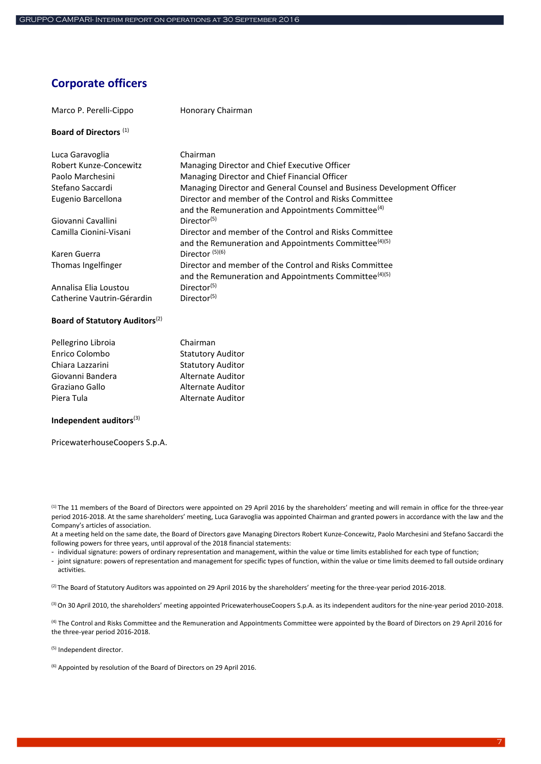# <span id="page-6-0"></span>**Corporate officers**

| Marco P. Perelli-Cippo            | Honorary Chairman                                                                                                           |
|-----------------------------------|-----------------------------------------------------------------------------------------------------------------------------|
| Board of Directors <sup>(1)</sup> |                                                                                                                             |
| Luca Garavoglia                   | Chairman                                                                                                                    |
| Robert Kunze-Concewitz            | Managing Director and Chief Executive Officer                                                                               |
| Paolo Marchesini                  | Managing Director and Chief Financial Officer                                                                               |
| Stefano Saccardi                  | Managing Director and General Counsel and Business Development Officer                                                      |
| Eugenio Barcellona                | Director and member of the Control and Risks Committee<br>and the Remuneration and Appointments Committee <sup>(4)</sup>    |
| Giovanni Cavallini                | Director <sup>(5)</sup>                                                                                                     |
| Camilla Cionini-Visani            | Director and member of the Control and Risks Committee<br>and the Remuneration and Appointments Committee <sup>(4)(5)</sup> |
| Karen Guerra                      | Director $(5)(6)$                                                                                                           |
| Thomas Ingelfinger                | Director and member of the Control and Risks Committee<br>and the Remuneration and Appointments Committee <sup>(4)(5)</sup> |
| Annalisa Elia Loustou             | Director <sup>(5)</sup>                                                                                                     |
| Catherine Vautrin-Gérardin        | Director <sup>(5)</sup>                                                                                                     |

# Pellegrino Libroia Chairman Enrico Colombo Statutory Auditor Chiara Lazzarini Statutory Auditor Giovanni Bandera **Alternate Auditor** Graziano Gallo **Alternate Auditor** Piera Tula **Alternate Auditor**

#### **Independent auditors**(3)

PricewaterhouseCoopers S.p.A.

**Board of Statutory Auditors**(2)

(1) The 11 members of the Board of Directors were appointed on 29 April 2016 by the shareholders' meeting and will remain in office for the three-year period 2016-2018. At the same shareholders' meeting, Luca Garavoglia was appointed Chairman and granted powers in accordance with the law and the Company's articles of association.

At a meeting held on the same date, the Board of Directors gave Managing Directors Robert Kunze-Concewitz, Paolo Marchesini and Stefano Saccardi the following powers for three years, until approval of the 2018 financial statements:

- individual signature: powers of ordinary representation and management, within the value or time limits established for each type of function;

- joint signature: powers of representation and management for specific types of function, within the value or time limits deemed to fall outside ordinary activities.

<sup>(2)</sup> The Board of Statutory Auditors was appointed on 29 April 2016 by the shareholders' meeting for the three-year period 2016-2018.

(3) On 30 April 2010, the shareholders' meeting appointed PricewaterhouseCoopers S.p.A. as its independent auditors for the nine-year period 2010-2018.

<sup>(4)</sup> The Control and Risks Committee and the Remuneration and Appointments Committee were appointed by the Board of Directors on 29 April 2016 for the three-year period 2016-2018.

(5) Independent director.

(6) Appointed by resolution of the Board of Directors on 29 April 2016.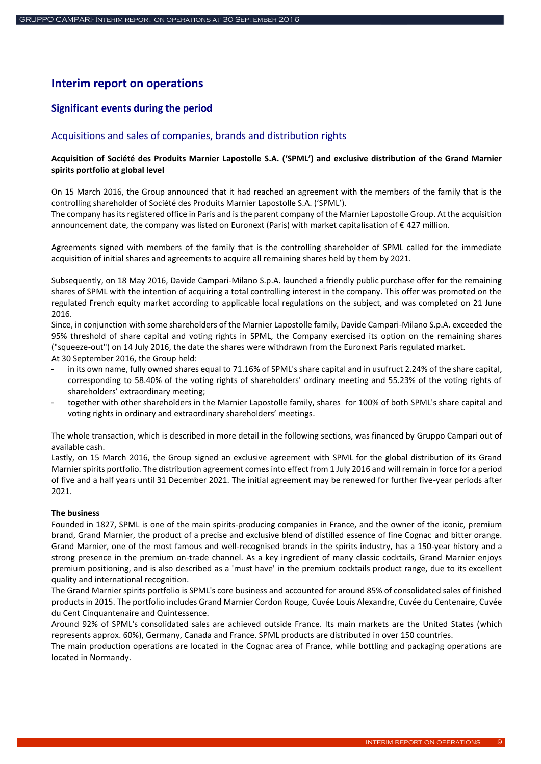# <span id="page-8-0"></span>**Interim report on operations**

# <span id="page-8-1"></span>**Significant events during the period**

### <span id="page-8-2"></span>Acquisitions and sales of companies, brands and distribution rights

### **Acquisition of Société des Produits Marnier Lapostolle S.A. ('SPML') and exclusive distribution of the Grand Marnier spirits portfolio at global level**

On 15 March 2016, the Group announced that it had reached an agreement with the members of the family that is the controlling shareholder of Société des Produits Marnier Lapostolle S.A. ('SPML').

The company has its registered office in Paris and is the parent company of the Marnier Lapostolle Group. At the acquisition announcement date, the company was listed on Euronext (Paris) with market capitalisation of € 427 million.

Agreements signed with members of the family that is the controlling shareholder of SPML called for the immediate acquisition of initial shares and agreements to acquire all remaining shares held by them by 2021.

Subsequently, on 18 May 2016, Davide Campari-Milano S.p.A. launched a friendly public purchase offer for the remaining shares of SPML with the intention of acquiring a total controlling interest in the company. This offer was promoted on the regulated French equity market according to applicable local regulations on the subject, and was completed on 21 June 2016.

Since, in conjunction with some shareholders of the Marnier Lapostolle family, Davide Campari-Milano S.p.A. exceeded the 95% threshold of share capital and voting rights in SPML, the Company exercised its option on the remaining shares ("squeeze-out") on 14 July 2016, the date the shares were withdrawn from the Euronext Paris regulated market. At 30 September 2016, the Group held:

- in its own name, fully owned shares equal to 71.16% of SPML's share capital and in usufruct 2.24% of the share capital, corresponding to 58.40% of the voting rights of shareholders' ordinary meeting and 55.23% of the voting rights of shareholders' extraordinary meeting;
- together with other shareholders in the Marnier Lapostolle family, shares for 100% of both SPML's share capital and voting rights in ordinary and extraordinary shareholders' meetings.

The whole transaction, which is described in more detail in the following sections, was financed by Gruppo Campari out of available cash.

Lastly, on 15 March 2016, the Group signed an exclusive agreement with SPML for the global distribution of its Grand Marnier spirits portfolio. The distribution agreement comes into effect from 1 July 2016 and will remain in force for a period of five and a half years until 31 December 2021. The initial agreement may be renewed for further five-year periods after 2021.

### **The business**

Founded in 1827, SPML is one of the main spirits-producing companies in France, and the owner of the iconic, premium brand, Grand Marnier, the product of a precise and exclusive blend of distilled essence of fine Cognac and bitter orange. Grand Marnier, one of the most famous and well-recognised brands in the spirits industry, has a 150-year history and a strong presence in the premium on-trade channel. As a key ingredient of many classic cocktails, Grand Marnier enjoys premium positioning, and is also described as a 'must have' in the premium cocktails product range, due to its excellent quality and international recognition.

The Grand Marnier spirits portfolio is SPML's core business and accounted for around 85% of consolidated sales of finished products in 2015. The portfolio includes Grand Marnier Cordon Rouge, Cuvée Louis Alexandre, Cuvée du Centenaire, Cuvée du Cent Cinquantenaire and Quintessence.

Around 92% of SPML's consolidated sales are achieved outside France. Its main markets are the United States (which represents approx. 60%), Germany, Canada and France. SPML products are distributed in over 150 countries.

The main production operations are located in the Cognac area of France, while bottling and packaging operations are located in Normandy.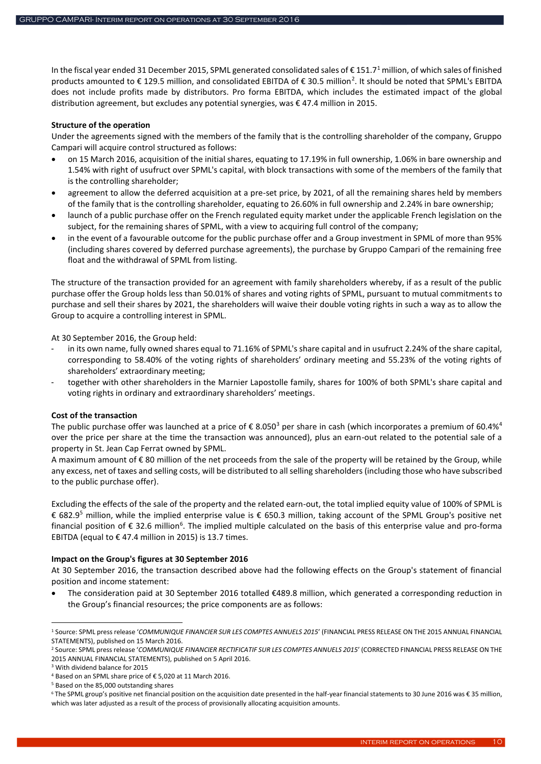In the fiscal year ended 31 December 2015, SPML generated consolidated sales of € 151.7<sup>1</sup> million, of which sales of finished products amounted to € 129.5 million, and consolidated EBITDA of € 30.5 million<sup>2</sup>. It should be noted that SPML's EBITDA does not include profits made by distributors. Pro forma EBITDA, which includes the estimated impact of the global distribution agreement, but excludes any potential synergies, was € 47.4 million in 2015.

#### **Structure of the operation**

Under the agreements signed with the members of the family that is the controlling shareholder of the company, Gruppo Campari will acquire control structured as follows:

- on 15 March 2016, acquisition of the initial shares, equating to 17.19% in full ownership, 1.06% in bare ownership and 1.54% with right of usufruct over SPML's capital, with block transactions with some of the members of the family that is the controlling shareholder;
- agreement to allow the deferred acquisition at a pre-set price, by 2021, of all the remaining shares held by members of the family that is the controlling shareholder, equating to 26.60% in full ownership and 2.24% in bare ownership;
- launch of a public purchase offer on the French regulated equity market under the applicable French legislation on the subject, for the remaining shares of SPML, with a view to acquiring full control of the company;
- in the event of a favourable outcome for the public purchase offer and a Group investment in SPML of more than 95% (including shares covered by deferred purchase agreements), the purchase by Gruppo Campari of the remaining free float and the withdrawal of SPML from listing.

The structure of the transaction provided for an agreement with family shareholders whereby, if as a result of the public purchase offer the Group holds less than 50.01% of shares and voting rights of SPML, pursuant to mutual commitments to purchase and sell their shares by 2021, the shareholders will waive their double voting rights in such a way as to allow the Group to acquire a controlling interest in SPML.

At 30 September 2016, the Group held:

- in its own name, fully owned shares equal to 71.16% of SPML's share capital and in usufruct 2.24% of the share capital, corresponding to 58.40% of the voting rights of shareholders' ordinary meeting and 55.23% of the voting rights of shareholders' extraordinary meeting;
- together with other shareholders in the Marnier Lapostolle family, shares for 100% of both SPML's share capital and voting rights in ordinary and extraordinary shareholders' meetings.

### **Cost of the transaction**

The public purchase offer was launched at a price of  $\epsilon$  8.050<sup>3</sup> per share in cash (which incorporates a premium of 60.4%<sup>4</sup> over the price per share at the time the transaction was announced), plus an earn-out related to the potential sale of a property in St. Jean Cap Ferrat owned by SPML.

A maximum amount of € 80 million of the net proceeds from the sale of the property will be retained by the Group, while any excess, net of taxes and selling costs, will be distributed to all selling shareholders (including those who have subscribed to the public purchase offer).

Excluding the effects of the sale of the property and the related earn-out, the total implied equity value of 100% of SPML is € 682.9 <sup>5</sup> million, while the implied enterprise value is € 650.3 million, taking account of the SPML Group's positive net financial position of  $\epsilon$  32.6 million<sup>6</sup>. The implied multiple calculated on the basis of this enterprise value and pro-forma EBITDA (equal to  $\epsilon$  47.4 million in 2015) is 13.7 times.

### **Impact on the Group's figures at 30 September 2016**

At 30 September 2016, the transaction described above had the following effects on the Group's statement of financial position and income statement:

 The consideration paid at 30 September 2016 totalled €489.8 million, which generated a corresponding reduction in the Group's financial resources; the price components are as follows:

**.** 

<sup>1</sup> Source: SPML press release '*COMMUNIQUE FINANCIER SUR LES COMPTES ANNUELS 2015*' (FINANCIAL PRESS RELEASE ON THE 2015 ANNUAL FINANCIAL STATEMENTS), published on 15 March 2016.

<sup>2</sup> Source: SPML press release '*COMMUNIQUE FINANCIER RECTIFICATIF SUR LES COMPTES ANNUELS 2015*' (CORRECTED FINANCIAL PRESS RELEASE ON THE 2015 ANNUAL FINANCIAL STATEMENTS), published on 5 April 2016.

<sup>3</sup> With dividend balance for 2015 <sup>4</sup> Based on an SPML share price of € 5,020 at 11 March 2016.

<sup>5</sup> Based on the 85,000 outstanding shares

<sup>6</sup> The SPML group's positive net financial position on the acquisition date presented in the half-year financial statements to 30 June 2016 was € 35 million, which was later adjusted as a result of the process of provisionally allocating acquisition amounts.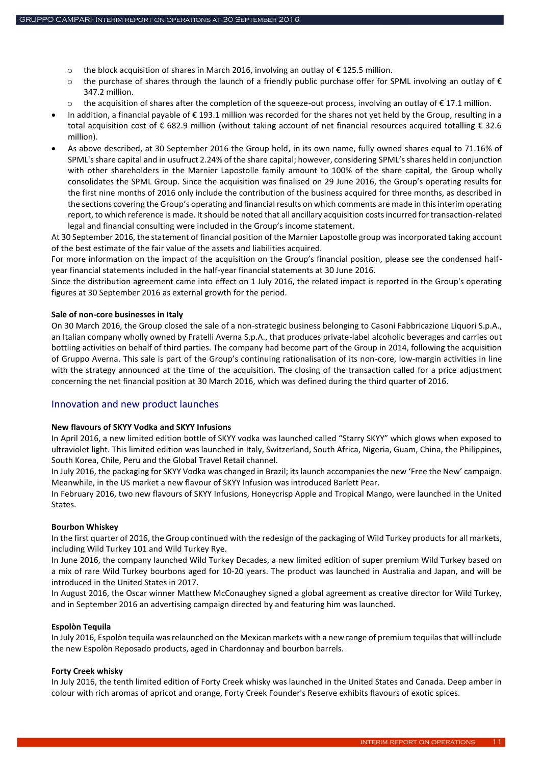- o the block acquisition of shares in March 2016, involving an outlay of € 125.5 million.
- $\circ$  the purchase of shares through the launch of a friendly public purchase offer for SPML involving an outlay of  $\epsilon$ 347.2 million.
- $\circ$  the acquisition of shares after the completion of the squeeze-out process, involving an outlay of  $\epsilon$  17.1 million.
- In addition, a financial payable of € 193.1 million was recorded for the shares not yet held by the Group, resulting in a total acquisition cost of € 682.9 million (without taking account of net financial resources acquired totalling € 32.6 million).
- As above described, at 30 September 2016 the Group held, in its own name, fully owned shares equal to 71.16% of SPML's share capital and in usufruct 2.24% of the share capital; however, considering SPML's shares held in conjunction with other shareholders in the Marnier Lapostolle family amount to 100% of the share capital, the Group wholly consolidates the SPML Group. Since the acquisition was finalised on 29 June 2016, the Group's operating results for the first nine months of 2016 only include the contribution of the business acquired for three months, as described in the sections covering the Group's operating and financial results on which comments are made in this interim operating report, to which reference is made. It should be noted that all ancillary acquisition costs incurred for transaction-related legal and financial consulting were included in the Group's income statement.

At 30 September 2016, the statement of financial position of the Marnier Lapostolle group was incorporated taking account of the best estimate of the fair value of the assets and liabilities acquired.

For more information on the impact of the acquisition on the Group's financial position, please see the condensed halfyear financial statements included in the half-year financial statements at 30 June 2016.

Since the distribution agreement came into effect on 1 July 2016, the related impact is reported in the Group's operating figures at 30 September 2016 as external growth for the period.

#### **Sale of non-core businesses in Italy**

On 30 March 2016, the Group closed the sale of a non-strategic business belonging to Casoni Fabbricazione Liquori S.p.A., an Italian company wholly owned by Fratelli Averna S.p.A., that produces private-label alcoholic beverages and carries out bottling activities on behalf of third parties. The company had become part of the Group in 2014, following the acquisition of Gruppo Averna. This sale is part of the Group's continuing rationalisation of its non-core, low-margin activities in line with the strategy announced at the time of the acquisition. The closing of the transaction called for a price adjustment concerning the net financial position at 30 March 2016, which was defined during the third quarter of 2016.

### <span id="page-10-0"></span>Innovation and new product launches

#### **New flavours of SKYY Vodka and SKYY Infusions**

In April 2016, a new limited edition bottle of SKYY vodka was launched called "Starry SKYY" which glows when exposed to ultraviolet light. This limited edition was launched in Italy, Switzerland, South Africa, Nigeria, Guam, China, the Philippines, South Korea, Chile, Peru and the Global Travel Retail channel.

In July 2016, the packaging for SKYY Vodka was changed in Brazil; its launch accompanies the new 'Free the New' campaign. Meanwhile, in the US market a new flavour of SKYY Infusion was introduced Barlett Pear.

In February 2016, two new flavours of SKYY Infusions, Honeycrisp Apple and Tropical Mango, were launched in the United States.

#### **Bourbon Whiskey**

In the first quarter of 2016, the Group continued with the redesign of the packaging of Wild Turkey products for all markets, including Wild Turkey 101 and Wild Turkey Rye.

In June 2016, the company launched Wild Turkey Decades, a new limited edition of super premium Wild Turkey based on a mix of rare Wild Turkey bourbons aged for 10-20 years. The product was launched in Australia and Japan, and will be introduced in the United States in 2017.

In August 2016, the Oscar winner Matthew McConaughey signed a global agreement as creative director for Wild Turkey, and in September 2016 an advertising campaign directed by and featuring him was launched.

#### **Espolòn Tequila**

In July 2016, Espolòn tequila was relaunched on the Mexican markets with a new range of premium tequilas that will include the new Espolòn Reposado products, aged in Chardonnay and bourbon barrels.

#### **Forty Creek whisky**

In July 2016, the tenth limited edition of Forty Creek whisky was launched in the United States and Canada. Deep amber in colour with rich aromas of apricot and orange, Forty Creek Founder's Reserve exhibits flavours of exotic spices.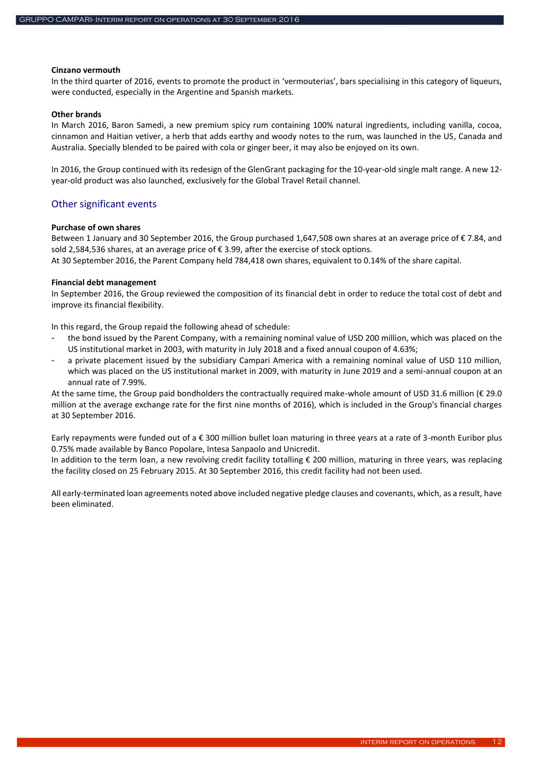#### **Cinzano vermouth**

In the third quarter of 2016, events to promote the product in 'vermouterias', bars specialising in this category of liqueurs, were conducted, especially in the Argentine and Spanish markets.

### **Other brands**

In March 2016, Baron Samedi, a new premium spicy rum containing 100% natural ingredients, including vanilla, cocoa, cinnamon and Haitian vetiver, a herb that adds earthy and woody notes to the rum, was launched in the US, Canada and Australia. Specially blended to be paired with cola or ginger beer, it may also be enjoyed on its own.

In 2016, the Group continued with its redesign of the GlenGrant packaging for the 10-year-old single malt range. A new 12 year-old product was also launched, exclusively for the Global Travel Retail channel.

### <span id="page-11-0"></span>Other significant events

#### **Purchase of own shares**

Between 1 January and 30 September 2016, the Group purchased 1,647,508 own shares at an average price of € 7.84, and sold 2,584,536 shares, at an average price of € 3.99, after the exercise of stock options.

At 30 September 2016, the Parent Company held 784,418 own shares, equivalent to 0.14% of the share capital.

#### **Financial debt management**

In September 2016, the Group reviewed the composition of its financial debt in order to reduce the total cost of debt and improve its financial flexibility.

In this regard, the Group repaid the following ahead of schedule:

- the bond issued by the Parent Company, with a remaining nominal value of USD 200 million, which was placed on the US institutional market in 2003, with maturity in July 2018 and a fixed annual coupon of 4.63%;
- a private placement issued by the subsidiary Campari America with a remaining nominal value of USD 110 million, which was placed on the US institutional market in 2009, with maturity in June 2019 and a semi-annual coupon at an annual rate of 7.99%.

At the same time, the Group paid bondholders the contractually required make-whole amount of USD 31.6 million (€ 29.0 million at the average exchange rate for the first nine months of 2016), which is included in the Group's financial charges at 30 September 2016.

Early repayments were funded out of a € 300 million bullet loan maturing in three years at a rate of 3-month Euribor plus 0.75% made available by Banco Popolare, Intesa Sanpaolo and Unicredit.

In addition to the term loan, a new revolving credit facility totalling € 200 million, maturing in three years, was replacing the facility closed on 25 February 2015. At 30 September 2016, this credit facility had not been used.

All early-terminated loan agreements noted above included negative pledge clauses and covenants, which, as a result, have been eliminated.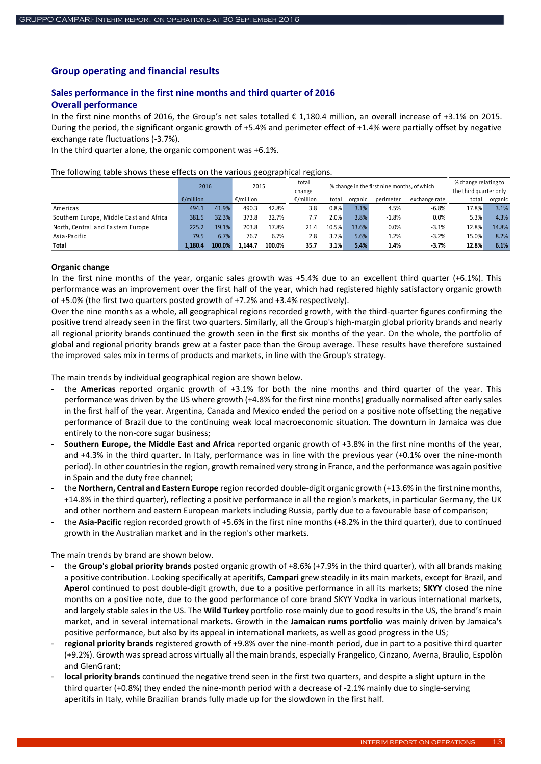### <span id="page-12-0"></span>**Group operating and financial results**

# <span id="page-12-1"></span>**Sales performance in the first nine months and third quarter of 2016**

# <span id="page-12-2"></span>**Overall performance**

In the first nine months of 2016, the Group's net sales totalled € 1,180.4 million, an overall increase of +3.1% on 2015. During the period, the significant organic growth of +5.4% and perimeter effect of +1.4% were partially offset by negative exchange rate fluctuations (-3.7%).

In the third quarter alone, the organic component was +6.1%.

The following table shows these effects on the various geographical regions.

|                                         | 2016      |        | 2015      |        | total<br>change |         | % change in the first nine months, of which |           |               | % change relating to<br>the third quarter only |         |  |
|-----------------------------------------|-----------|--------|-----------|--------|-----------------|---------|---------------------------------------------|-----------|---------------|------------------------------------------------|---------|--|
|                                         | €/million |        | €/million |        | €/million       | total   | organic                                     | perimeter | exchange rate | total                                          | organic |  |
| Americas                                | 494.1     | 41.9%  | 490.3     | 42.8%  | 3.8             | $0.8\%$ | 3.1%                                        | 4.5%      | $-6.8%$       | 17.8%                                          | 3.1%    |  |
| Southern Europe, Middle East and Africa | 381.5     | 32.3%  | 373.8     | 32.7%  | 7.7             | 2.0%    | 3.8%                                        | $-1.8%$   | 0.0%          | 5.3%                                           | 4.3%    |  |
| North, Central and Eastern Europe       | 225.2     | 19.1%  | 203.8     | 17.8%  | 21.4            | 10.5%   | 13.6%                                       | 0.0%      | $-3.1%$       | 12.8%                                          | 14.8%   |  |
| Asia-Pacific                            | 79.5      | 6.7%   | 76.7      | 6.7%   | 2.8             | 3.7%    | 5.6%                                        | 1.2%      | $-3.2%$       | 15.0%                                          | 8.2%    |  |
| Total                                   | 1.180.4   | 100.0% | 1.144.7   | 100.0% | 35.7            | 3.1%    | 5.4%                                        | 1.4%      | $-3.7%$       | 12.8%                                          | 6.1%    |  |

#### **Organic change**

In the first nine months of the year, organic sales growth was +5.4% due to an excellent third quarter (+6.1%). This performance was an improvement over the first half of the year, which had registered highly satisfactory organic growth of +5.0% (the first two quarters posted growth of +7.2% and +3.4% respectively).

Over the nine months as a whole, all geographical regions recorded growth, with the third-quarter figures confirming the positive trend already seen in the first two quarters. Similarly, all the Group's high-margin global priority brands and nearly all regional priority brands continued the growth seen in the first six months of the year. On the whole, the portfolio of global and regional priority brands grew at a faster pace than the Group average. These results have therefore sustained the improved sales mix in terms of products and markets, in line with the Group's strategy.

The main trends by individual geographical region are shown below.

- the **Americas** reported organic growth of +3.1% for both the nine months and third quarter of the year. This performance was driven by the US where growth (+4.8% for the first nine months) gradually normalised after early sales in the first half of the year. Argentina, Canada and Mexico ended the period on a positive note offsetting the negative performance of Brazil due to the continuing weak local macroeconomic situation. The downturn in Jamaica was due entirely to the non-core sugar business;
- **Southern Europe, the Middle East and Africa** reported organic growth of +3.8% in the first nine months of the year, and +4.3% in the third quarter. In Italy, performance was in line with the previous year (+0.1% over the nine-month period). In other countries in the region, growth remained very strong in France, and the performance was again positive in Spain and the duty free channel;
- the **Northern, Central and Eastern Europe** region recorded double-digit organic growth (+13.6% in the first nine months, +14.8% in the third quarter), reflecting a positive performance in all the region's markets, in particular Germany, the UK and other northern and eastern European markets including Russia, partly due to a favourable base of comparison;
- the **Asia-Pacific** region recorded growth of +5.6% in the first nine months (+8.2% in the third quarter), due to continued growth in the Australian market and in the region's other markets.

The main trends by brand are shown below.

- the **Group's global priority brands** posted organic growth of +8.6% (+7.9% in the third quarter), with all brands making a positive contribution. Looking specifically at aperitifs, **Campari** grew steadily in its main markets, except for Brazil, and **Aperol** continued to post double-digit growth, due to a positive performance in all its markets; **SKYY** closed the nine months on a positive note, due to the good performance of core brand SKYY Vodka in various international markets, and largely stable sales in the US. The **Wild Turkey** portfolio rose mainly due to good results in the US, the brand's main market, and in several international markets. Growth in the **Jamaican rums portfolio** was mainly driven by Jamaica's positive performance, but also by its appeal in international markets, as well as good progress in the US;
- **regional priority brands** registered growth of +9.8% over the nine-month period, due in part to a positive third quarter (+9.2%). Growth was spread across virtually all the main brands, especially Frangelico, Cinzano, Averna, Braulio, Espolòn and GlenGrant;
- local priority brands continued the negative trend seen in the first two quarters, and despite a slight upturn in the third quarter (+0.8%) they ended the nine-month period with a decrease of -2.1% mainly due to single-serving aperitifs in Italy, while Brazilian brands fully made up for the slowdown in the first half.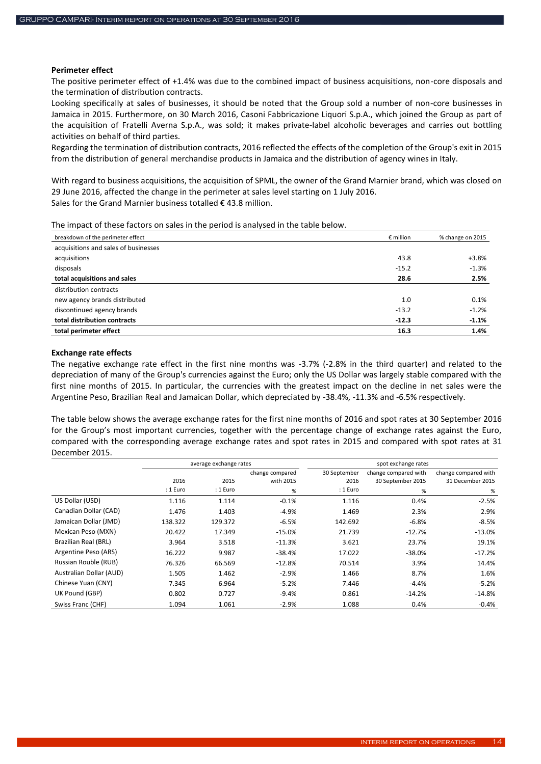### **Perimeter effect**

The positive perimeter effect of +1.4% was due to the combined impact of business acquisitions, non-core disposals and the termination of distribution contracts.

Looking specifically at sales of businesses, it should be noted that the Group sold a number of non-core businesses in Jamaica in 2015. Furthermore, on 30 March 2016, Casoni Fabbricazione Liquori S.p.A., which joined the Group as part of the acquisition of Fratelli Averna S.p.A., was sold; it makes private-label alcoholic beverages and carries out bottling activities on behalf of third parties.

Regarding the termination of distribution contracts, 2016 reflected the effects of the completion of the Group's exit in 2015 from the distribution of general merchandise products in Jamaica and the distribution of agency wines in Italy.

With regard to business acquisitions, the acquisition of SPML, the owner of the Grand Marnier brand, which was closed on 29 June 2016, affected the change in the perimeter at sales level starting on 1 July 2016. Sales for the Grand Marnier business totalled  $\epsilon$  43.8 million.

The impact of these factors on sales in the period is analysed in the table below.

| breakdown of the perimeter effect    | $\epsilon$ million | % change on 2015 |
|--------------------------------------|--------------------|------------------|
| acquisitions and sales of businesses |                    |                  |
| acquisitions                         | 43.8               | $+3.8%$          |
| disposals                            | $-15.2$            | $-1.3%$          |
| total acquisitions and sales         | 28.6               | 2.5%             |
| distribution contracts               |                    |                  |
| new agency brands distributed        | 1.0                | 0.1%             |
| discontinued agency brands           | $-13.2$            | $-1.2%$          |
| total distribution contracts         | $-12.3$            | $-1.1%$          |
| total perimeter effect               | 16.3               | 1.4%             |

### **Exchange rate effects**

The negative exchange rate effect in the first nine months was -3.7% (-2.8% in the third quarter) and related to the depreciation of many of the Group's currencies against the Euro; only the US Dollar was largely stable compared with the first nine months of 2015. In particular, the currencies with the greatest impact on the decline in net sales were the Argentine Peso, Brazilian Real and Jamaican Dollar, which depreciated by -38.4%, -11.3% and -6.5% respectively.

The table below shows the average exchange rates for the first nine months of 2016 and spot rates at 30 September 2016 for the Group's most important currencies, together with the percentage change of exchange rates against the Euro, compared with the corresponding average exchange rates and spot rates in 2015 and compared with spot rates at 31 December 2015.

|                         |          | average exchange rates |                 |              | spot exchange rates  |                      |  |  |  |  |
|-------------------------|----------|------------------------|-----------------|--------------|----------------------|----------------------|--|--|--|--|
|                         |          |                        | change compared | 30 September | change compared with | change compared with |  |  |  |  |
|                         | 2016     | 2015                   | with 2015       | 2016         | 30 September 2015    | 31 December 2015     |  |  |  |  |
|                         | : 1 Euro | : 1 Euro               | $\%$            | : 1 Euro     | %                    | %                    |  |  |  |  |
| US Dollar (USD)         | 1.116    | 1.114                  | $-0.1%$         | 1.116        | 0.4%                 | $-2.5%$              |  |  |  |  |
| Canadian Dollar (CAD)   | 1.476    | 1.403                  | $-4.9%$         | 1.469        | 2.3%                 | 2.9%                 |  |  |  |  |
| Jamaican Dollar (JMD)   | 138.322  | 129.372                | $-6.5%$         | 142.692      | $-6.8%$              | $-8.5%$              |  |  |  |  |
| Mexican Peso (MXN)      | 20.422   | 17.349                 | $-15.0%$        | 21.739       | $-12.7%$             | $-13.0%$             |  |  |  |  |
| Brazilian Real (BRL)    | 3.964    | 3.518                  | $-11.3%$        | 3.621        | 23.7%                | 19.1%                |  |  |  |  |
| Argentine Peso (ARS)    | 16.222   | 9.987                  | $-38.4%$        | 17.022       | $-38.0%$             | $-17.2%$             |  |  |  |  |
| Russian Rouble (RUB)    | 76.326   | 66.569                 | $-12.8%$        | 70.514       | 3.9%                 | 14.4%                |  |  |  |  |
| Australian Dollar (AUD) | 1.505    | 1.462                  | $-2.9%$         | 1.466        | 8.7%                 | 1.6%                 |  |  |  |  |
| Chinese Yuan (CNY)      | 7.345    | 6.964                  | $-5.2%$         | 7.446        | $-4.4%$              | $-5.2%$              |  |  |  |  |
| UK Pound (GBP)          | 0.802    | 0.727                  | $-9.4%$         | 0.861        | $-14.2%$             | $-14.8%$             |  |  |  |  |
| Swiss Franc (CHF)       | 1.094    | 1.061                  | $-2.9%$         | 1.088        | 0.4%                 | $-0.4%$              |  |  |  |  |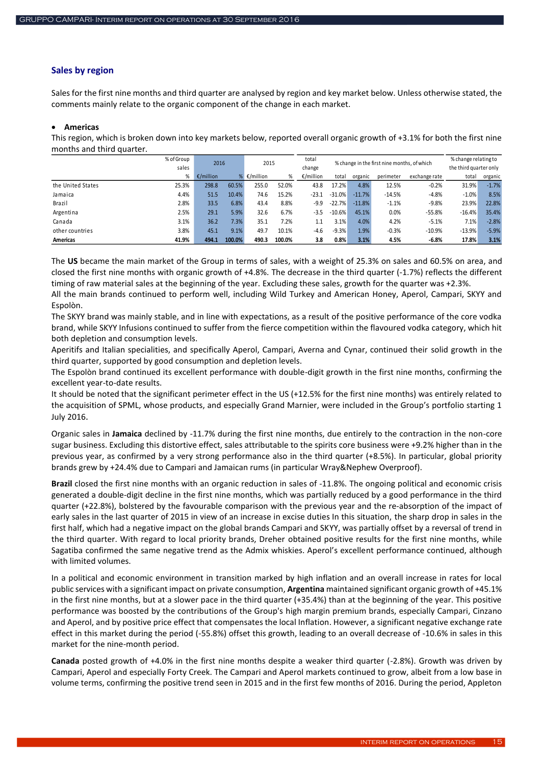### <span id="page-14-0"></span>**Sales by region**

Sales for the first nine months and third quarter are analysed by region and key market below. Unless otherwise stated, the comments mainly relate to the organic component of the change in each market.

#### **Americas**

This region, which is broken down into key markets below, reported overall organic growth of +3.1% for both the first nine months and third quarter.

|                   | % of Group |                     | 2016   |           |        | total     | % change in the first nine months, of which |          |           |               |          | % change relating to   |  |
|-------------------|------------|---------------------|--------|-----------|--------|-----------|---------------------------------------------|----------|-----------|---------------|----------|------------------------|--|
|                   | sales      |                     |        |           | 2015   |           |                                             |          |           |               |          | the third quarter only |  |
|                   | %          | $\epsilon$ /million | ℅      | €/million | %      | €/million | total                                       | organic  | perimeter | exchange rate | total    | organic                |  |
| the United States | 25.3%      | 298.8               | 60.5%  | 255.0     | 52.0%  | 43.8      | 17.2%                                       | 4.8%     | 12.5%     | $-0.2%$       | 31.9%    | $-1.7%$                |  |
| Jamaica           | 4.4%       | 51.5                | 10.4%  | 74.6      | 15.2%  | $-23.1$   | $-31.0%$                                    | $-11.7%$ | $-14.5%$  | $-4.8%$       | $-1.0%$  | 8.5%                   |  |
| Brazil            | 2.8%       | 33.5                | 6.8%   | 43.4      | 8.8%   | -9.9      | $-22.7%$                                    | $-11.8%$ | $-1.1%$   | $-9.8%$       | 23.9%    | 22.8%                  |  |
| Argentina         | 2.5%       | 29.1                | 5.9%   | 32.6      | 6.7%   | -3.5      | $-10.6%$                                    | 45.1%    | 0.0%      | $-55.8%$      | $-16.4%$ | 35.4%                  |  |
| Canada            | 3.1%       | 36.2                | 7.3%   | 35.1      | 7.2%   | 1.1       | 3.1%                                        | 4.0%     | 4.2%      | $-5.1%$       | 7.1%     | $-2.8%$                |  |
| other countries   | 3.8%       | 45.1                | 9.1%   | 49.7      | 10.1%  | -4.6      | $-9.3%$                                     | 1.9%     | $-0.3%$   | $-10.9%$      | $-13.9%$ | $-5.9%$                |  |
| <b>Americas</b>   | 41.9%      | 494.1               | 100.0% | 490.3     | 100.0% | 3.8       | 0.8%                                        | 3.1%     | 4.5%      | $-6.8%$       | 17.8%    | 3.1%                   |  |

The **US** became the main market of the Group in terms of sales, with a weight of 25.3% on sales and 60.5% on area, and closed the first nine months with organic growth of +4.8%. The decrease in the third quarter (-1.7%) reflects the different timing of raw material sales at the beginning of the year. Excluding these sales, growth for the quarter was +2.3%.

All the main brands continued to perform well, including Wild Turkey and American Honey, Aperol, Campari, SKYY and Espolòn.

The SKYY brand was mainly stable, and in line with expectations, as a result of the positive performance of the core vodka brand, while SKYY Infusions continued to suffer from the fierce competition within the flavoured vodka category, which hit both depletion and consumption levels.

Aperitifs and Italian specialities, and specifically Aperol, Campari, Averna and Cynar, continued their solid growth in the third quarter, supported by good consumption and depletion levels.

The Espolòn brand continued its excellent performance with double-digit growth in the first nine months, confirming the excellent year-to-date results.

It should be noted that the significant perimeter effect in the US (+12.5% for the first nine months) was entirely related to the acquisition of SPML, whose products, and especially Grand Marnier, were included in the Group's portfolio starting 1 July 2016.

Organic sales in **Jamaica** declined by -11.7% during the first nine months, due entirely to the contraction in the non-core sugar business. Excluding this distortive effect, sales attributable to the spirits core business were +9.2% higher than in the previous year, as confirmed by a very strong performance also in the third quarter (+8.5%). In particular, global priority brands grew by +24.4% due to Campari and Jamaican rums (in particular Wray&Nephew Overproof).

**Brazil** closed the first nine months with an organic reduction in sales of -11.8%. The ongoing political and economic crisis generated a double-digit decline in the first nine months, which was partially reduced by a good performance in the third quarter (+22.8%), bolstered by the favourable comparison with the previous year and the re-absorption of the impact of early sales in the last quarter of 2015 in view of an increase in excise duties In this situation, the sharp drop in sales in the first half, which had a negative impact on the global brands Campari and SKYY, was partially offset by a reversal of trend in the third quarter. With regard to local priority brands, Dreher obtained positive results for the first nine months, while Sagatiba confirmed the same negative trend as the Admix whiskies. Aperol's excellent performance continued, although with limited volumes.

In a political and economic environment in transition marked by high inflation and an overall increase in rates for local public services with a significant impact on private consumption, **Argentina** maintained significant organic growth of +45.1% in the first nine months, but at a slower pace in the third quarter (+35.4%) than at the beginning of the year. This positive performance was boosted by the contributions of the Group's high margin premium brands, especially Campari, Cinzano and Aperol, and by positive price effect that compensates the local Inflation. However, a significant negative exchange rate effect in this market during the period (-55.8%) offset this growth, leading to an overall decrease of -10.6% in sales in this market for the nine-month period.

**Canada** posted growth of +4.0% in the first nine months despite a weaker third quarter (-2.8%). Growth was driven by Campari, Aperol and especially Forty Creek. The Campari and Aperol markets continued to grow, albeit from a low base in volume terms, confirming the positive trend seen in 2015 and in the first few months of 2016. During the period, Appleton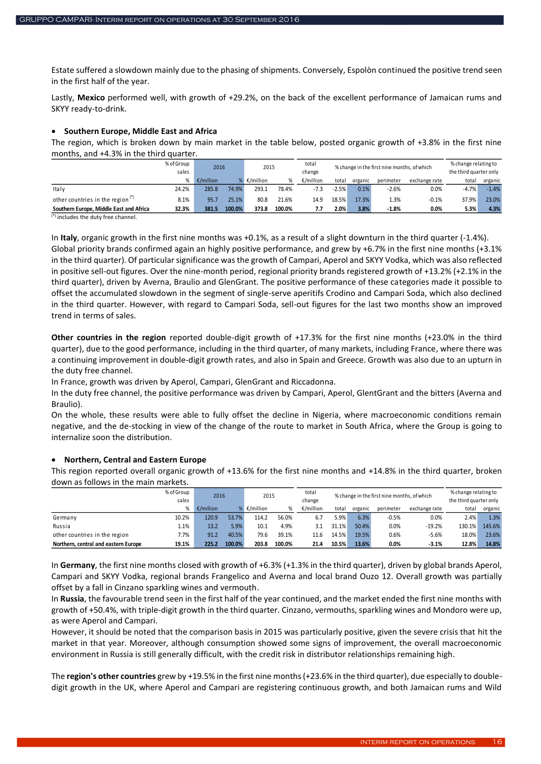Estate suffered a slowdown mainly due to the phasing of shipments. Conversely, Espolòn continued the positive trend seen in the first half of the year.

Lastly, **Mexico** performed well, with growth of +29.2%, on the back of the excellent performance of Jamaican rums and SKYY ready-to-drink.

### **Southern Europe, Middle East and Africa**

The region, which is broken down by main market in the table below, posted organic growth of +3.8% in the first nine months, and +4.3% in the third quarter.

|                                         | % of Group<br>sales | 2016                |        | 2015      |        | total<br>change | % change in the first nine months, of which |         |           |               | % change relating to<br>the third quarter only |         |
|-----------------------------------------|---------------------|---------------------|--------|-----------|--------|-----------------|---------------------------------------------|---------|-----------|---------------|------------------------------------------------|---------|
|                                         |                     | $\epsilon$ /million |        | €/million |        | €/million       | total                                       | organic | perimeter | exchange rate | total                                          | organic |
| Italy                                   | 24.2%               | 285.8               | 74.9%  | 293.1     | 78.4%  | $-7.3$          | $-2.5%$                                     | 0.1%    | $-2.6%$   | 0.0%          | $-4.7%$                                        | $-1.4%$ |
| other countries in the region $(*)$     | 8.1%                | 95.                 | 25.1%  | 80.8      | 21.6%  | 14.9            | 18.5%                                       | 17.3%   | 1.3%      | $-0.1%$       | 37.9%                                          | 23.0%   |
| Southern Europe, Middle East and Africa | 32.3%               | 381.5               | 100.0% | 373.8     | 100.0% | 7.7             | 2.0%                                        | 3.8%    | $-1.8%$   | 0.0%          | 5.3%                                           | 4.3%    |

(\*) includes the duty free channel.

In **Italy**, organic growth in the first nine months was +0.1%, as a result of a slight downturn in the third quarter (-1.4%). Global priority brands confirmed again an highly positive performance, and grew by +6.7% in the first nine months (+3.1% in the third quarter). Of particular significance was the growth of Campari, Aperol and SKYY Vodka, which was also reflected in positive sell-out figures. Over the nine-month period, regional priority brands registered growth of +13.2% (+2.1% in the third quarter), driven by Averna, Braulio and GlenGrant. The positive performance of these categories made it possible to offset the accumulated slowdown in the segment of single-serve aperitifs Crodino and Campari Soda, which also declined in the third quarter. However, with regard to Campari Soda, sell-out figures for the last two months show an improved trend in terms of sales.

**Other countries in the region** reported double-digit growth of +17.3% for the first nine months (+23.0% in the third quarter), due to the good performance, including in the third quarter, of many markets, including France, where there was a continuing improvement in double-digit growth rates, and also in Spain and Greece. Growth was also due to an upturn in the duty free channel.

In France, growth was driven by Aperol, Campari, GlenGrant and Riccadonna.

In the duty free channel, the positive performance was driven by Campari, Aperol, GlentGrant and the bitters (Averna and Braulio).

On the whole, these results were able to fully offset the decline in Nigeria, where macroeconomic conditions remain negative, and the de-stocking in view of the change of the route to market in South Africa, where the Group is going to internalize soon the distribution.

# **Northern, Central and Eastern Europe**

This region reported overall organic growth of +13.6% for the first nine months and +14.8% in the third quarter, broken down as follows in the main markets.

|                                      | % of Group | 2016      |        | 2015      |        | total<br>% change in the first nine months, of which |       |         |           | % change relating to |                        |         |
|--------------------------------------|------------|-----------|--------|-----------|--------|------------------------------------------------------|-------|---------|-----------|----------------------|------------------------|---------|
|                                      | sales      |           |        |           |        | change                                               |       |         |           |                      | the third quarter only |         |
|                                      |            | €/million |        | €/million |        | €/million                                            | total | organic | perimeter | exchange rate        | total                  | organic |
| Germany                              | 10.2%      | 120.9     | 53.7%  | 114.2     | 56.0%  | 6.7                                                  | 5.9%  | 6.3%    | $-0.5%$   | 0.0%                 | 2.4%                   | 1.3%    |
| Russia                               | 1.1%       | 13.2      | 5.9%   | 10.1      | 4.9%   | 3.1                                                  | 31.1% | 50.4%   | 0.0%      | $-19.2%$             | 130.1%                 | 145.6%  |
| other countries in the region        | 7.7%       | 91.2      | 40.5%  | 79.6      | 39.1%  | 11.6                                                 | 14.5% | 19.5%   | 0.6%      | $-5.6%$              | 18.0%                  | 23.6%   |
| Northern, central and eastern Europe | 19.1%      | 225.2     | 100.0% | 203.8     | 100.0% | 21.4                                                 | 10.5% | 13.6%   | 0.0%      | $-3.1%$              | 12.8%                  | 14.8%   |

In **Germany**, the first nine months closed with growth of +6.3% (+1.3% in the third quarter), driven by global brands Aperol, Campari and SKYY Vodka, regional brands Frangelico and Averna and local brand Ouzo 12. Overall growth was partially offset by a fall in Cinzano sparkling wines and vermouth.

In **Russia**, the favourable trend seen in the first half of the year continued, and the market ended the first nine months with growth of +50.4%, with triple-digit growth in the third quarter. Cinzano, vermouths, sparkling wines and Mondoro were up, as were Aperol and Campari.

However, it should be noted that the comparison basis in 2015 was particularly positive, given the severe crisis that hit the market in that year. Moreover, although consumption showed some signs of improvement, the overall macroeconomic environment in Russia is still generally difficult, with the credit risk in distributor relationships remaining high.

The **region's other countries** grew by +19.5% in the first nine months (+23.6% in the third quarter), due especially to doubledigit growth in the UK, where Aperol and Campari are registering continuous growth, and both Jamaican rums and Wild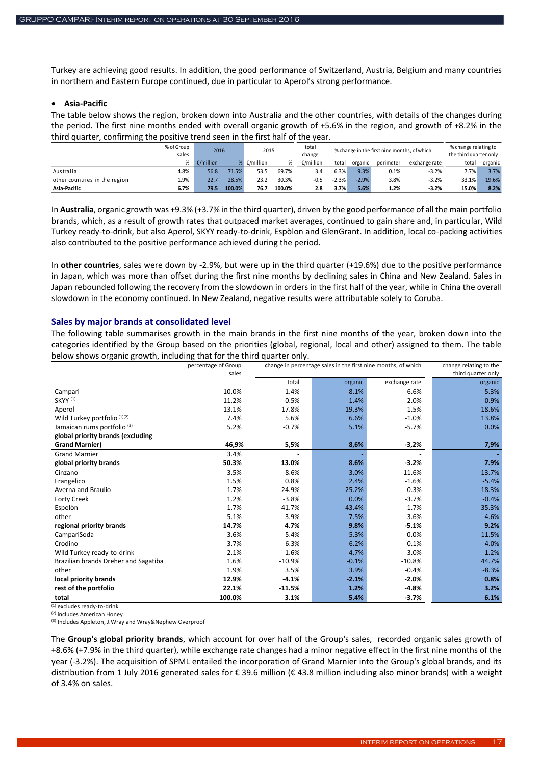Turkey are achieving good results. In addition, the good performance of Switzerland, Austria, Belgium and many countries in northern and Eastern Europe continued, due in particular to Aperol's strong performance.

#### **Asia-Pacific**

The table below shows the region, broken down into Australia and the other countries, with details of the changes during the period. The first nine months ended with overall organic growth of +5.6% in the region, and growth of +8.2% in the third quarter, confirming the positive trend seen in the first half of the year.

|                               | % of Group<br>sales | 2016      |        | 2015      |        | total<br>% change in the first nine months, of which<br>change |         |         |           | % change relating to<br>the third quarter only |       |         |
|-------------------------------|---------------------|-----------|--------|-----------|--------|----------------------------------------------------------------|---------|---------|-----------|------------------------------------------------|-------|---------|
|                               |                     | €/million |        | €/million |        | €/million                                                      | total   | organic | perimeter | exchange rate                                  | total | organic |
| Australia                     | 4.8%                | 56.8      | 71.5%  | 53.5      | 69.7%  | 3.4                                                            | 6.3%    | 9.3%    | 0.1%      | $-3.2%$                                        | 7.7%  | 3.7%    |
| other countries in the region | 1.9%                | 22.7      | 28.5%  | 23.2      | 30.3%  | -0.5                                                           | $-2.3%$ | $-2.9%$ | 3.8%      | $-3.2%$                                        | 33.1% | 19.6%   |
| Asia-Pacific                  | 6.7%                | 79.5      | 100.0% | 76.7      | 100.0% | 2.8                                                            | 3.7%    | 5.6%    | 1.2%      | $-3.2%$                                        | 15.0% | 8.2%    |

In **Australia**, organic growth was +9.3% (+3.7% in the third quarter), driven by the good performance of all the main portfolio brands, which, as a result of growth rates that outpaced market averages, continued to gain share and, in particular, Wild Turkey ready-to-drink, but also Aperol, SKYY ready-to-drink, Espòlon and GlenGrant. In addition, local co-packing activities also contributed to the positive performance achieved during the period.

In **other countries**, sales were down by -2.9%, but were up in the third quarter (+19.6%) due to the positive performance in Japan, which was more than offset during the first nine months by declining sales in China and New Zealand. Sales in Japan rebounded following the recovery from the slowdown in orders in the first half of the year, while in China the overall slowdown in the economy continued. In New Zealand, negative results were attributable solely to Coruba.

#### <span id="page-16-0"></span>**Sales by major brands at consolidated level**

The following table summarises growth in the main brands in the first nine months of the year, broken down into the categories identified by the Group based on the priorities (global, regional, local and other) assigned to them. The table below shows organic growth, including that for the third quarter only.

|                                        | percentage of Group<br>sales |          | change in percentage sales in the first nine months, of which | change relating to the<br>third quarter only |          |
|----------------------------------------|------------------------------|----------|---------------------------------------------------------------|----------------------------------------------|----------|
|                                        |                              | total    | organic                                                       | exchange rate                                | organic  |
| Campari                                | 10.0%                        | 1.4%     | 8.1%                                                          | $-6.6%$                                      | 5.3%     |
| <b>SKYY (1)</b>                        | 11.2%                        | $-0.5%$  | 1.4%                                                          | $-2.0%$                                      | $-0.9%$  |
| Aperol                                 | 13.1%                        | 17.8%    | 19.3%                                                         | $-1.5%$                                      | 18.6%    |
| Wild Turkey portfolio (1)(2)           | 7.4%                         | 5.6%     | 6.6%                                                          | $-1.0%$                                      | 13.8%    |
| Jamaican rums portfolio <sup>(3)</sup> | 5.2%                         | $-0.7%$  | 5.1%                                                          | $-5.7%$                                      | 0.0%     |
| global priority brands (excluding      |                              |          |                                                               |                                              |          |
| <b>Grand Marnier)</b>                  | 46,9%                        | 5,5%     | 8,6%                                                          | $-3,2%$                                      | 7,9%     |
| <b>Grand Marnier</b>                   | 3.4%                         |          |                                                               |                                              |          |
| global priority brands                 | 50.3%                        | 13.0%    | 8.6%                                                          | $-3.2%$                                      | 7.9%     |
| Cinzano                                | 3.5%                         | $-8.6%$  | 3.0%                                                          | $-11.6%$                                     | 13.7%    |
| Frangelico                             | 1.5%                         | 0.8%     | 2.4%                                                          | $-1.6%$                                      | $-5.4%$  |
| Averna and Braulio                     | 1.7%                         | 24.9%    | 25.2%                                                         | $-0.3%$                                      | 18.3%    |
| <b>Forty Creek</b>                     | 1.2%                         | $-3.8%$  | 0.0%                                                          | $-3.7%$                                      | $-0.4%$  |
| Espolòn                                | 1.7%                         | 41.7%    | 43.4%                                                         | $-1.7%$                                      | 35.3%    |
| other                                  | 5.1%                         | 3.9%     | 7.5%                                                          | $-3.6%$                                      | 4.6%     |
| regional priority brands               | 14.7%                        | 4.7%     | 9.8%                                                          | $-5.1%$                                      | 9.2%     |
| CampariSoda                            | 3.6%                         | $-5.4%$  | $-5.3%$                                                       | 0.0%                                         | $-11.5%$ |
| Crodino                                | 3.7%                         | $-6.3%$  | $-6.2%$                                                       | $-0.1%$                                      | $-4.0%$  |
| Wild Turkey ready-to-drink             | 2.1%                         | 1.6%     | 4.7%                                                          | $-3.0%$                                      | 1.2%     |
| Brazilian brands Dreher and Sagatiba   | 1.6%                         | $-10.9%$ | $-0.1%$                                                       | $-10.8%$                                     | 44.7%    |
| other                                  | 1.9%                         | 3.5%     | 3.9%                                                          | $-0.4%$                                      | $-8.3%$  |
| local priority brands                  | 12.9%                        | $-4.1%$  | $-2.1%$                                                       | $-2.0%$                                      | 0.8%     |
| rest of the portfolio                  | 22.1%                        | $-11.5%$ | 1.2%                                                          | $-4.8%$                                      | 3.2%     |
| total                                  | 100.0%                       | 3.1%     | 5.4%                                                          | $-3.7%$                                      | 6.1%     |

 $(1)$  excludes ready-to-drink

(2) includes American Honey

(3) Includes Appleton, J.Wray and Wray&Nephew Overproof

The **Group's global priority brands**, which account for over half of the Group's sales, recorded organic sales growth of +8.6% (+7.9% in the third quarter), while exchange rate changes had a minor negative effect in the first nine months of the year (-3.2%). The acquisition of SPML entailed the incorporation of Grand Marnier into the Group's global brands, and its distribution from 1 July 2016 generated sales for € 39.6 million (€ 43.8 million including also minor brands) with a weight of 3.4% on sales.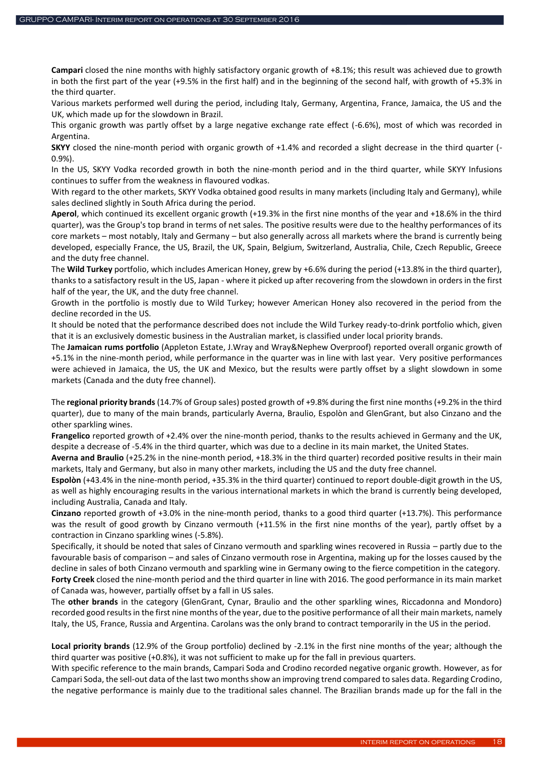**Campari** closed the nine months with highly satisfactory organic growth of +8.1%; this result was achieved due to growth in both the first part of the year (+9.5% in the first half) and in the beginning of the second half, with growth of +5.3% in the third quarter.

Various markets performed well during the period, including Italy, Germany, Argentina, France, Jamaica, the US and the UK, which made up for the slowdown in Brazil.

This organic growth was partly offset by a large negative exchange rate effect (-6.6%), most of which was recorded in Argentina.

**SKYY** closed the nine-month period with organic growth of +1.4% and recorded a slight decrease in the third quarter (- 0.9%).

In the US, SKYY Vodka recorded growth in both the nine-month period and in the third quarter, while SKYY Infusions continues to suffer from the weakness in flavoured vodkas.

With regard to the other markets, SKYY Vodka obtained good results in many markets (including Italy and Germany), while sales declined slightly in South Africa during the period.

**Aperol**, which continued its excellent organic growth (+19.3% in the first nine months of the year and +18.6% in the third quarter), was the Group's top brand in terms of net sales. The positive results were due to the healthy performances of its core markets – most notably, Italy and Germany – but also generally across all markets where the brand is currently being developed, especially France, the US, Brazil, the UK, Spain, Belgium, Switzerland, Australia, Chile, Czech Republic, Greece and the duty free channel.

The **Wild Turkey** portfolio, which includes American Honey, grew by +6.6% during the period (+13.8% in the third quarter), thanks to a satisfactory result in the US, Japan - where it picked up after recovering from the slowdown in orders in the first half of the year, the UK, and the duty free channel.

Growth in the portfolio is mostly due to Wild Turkey; however American Honey also recovered in the period from the decline recorded in the US.

It should be noted that the performance described does not include the Wild Turkey ready-to-drink portfolio which, given that it is an exclusively domestic business in the Australian market, is classified under local priority brands.

The **Jamaican rums portfolio** (Appleton Estate, J.Wray and Wray&Nephew Overproof) reported overall organic growth of +5.1% in the nine-month period, while performance in the quarter was in line with last year. Very positive performances were achieved in Jamaica, the US, the UK and Mexico, but the results were partly offset by a slight slowdown in some markets (Canada and the duty free channel).

The **regional priority brands** (14.7% of Group sales) posted growth of +9.8% during the first nine months (+9.2% in the third quarter), due to many of the main brands, particularly Averna, Braulio, Espolòn and GlenGrant, but also Cinzano and the other sparkling wines.

**Frangelico** reported growth of +2.4% over the nine-month period, thanks to the results achieved in Germany and the UK, despite a decrease of -5.4% in the third quarter, which was due to a decline in its main market, the United States.

**Averna and Braulio** (+25.2% in the nine-month period, +18.3% in the third quarter) recorded positive results in their main markets, Italy and Germany, but also in many other markets, including the US and the duty free channel.

**Espolòn** (+43.4% in the nine-month period, +35.3% in the third quarter) continued to report double-digit growth in the US, as well as highly encouraging results in the various international markets in which the brand is currently being developed, including Australia, Canada and Italy.

**Cinzano** reported growth of +3.0% in the nine-month period, thanks to a good third quarter (+13.7%). This performance was the result of good growth by Cinzano vermouth (+11.5% in the first nine months of the year), partly offset by a contraction in Cinzano sparkling wines (-5.8%).

Specifically, it should be noted that sales of Cinzano vermouth and sparkling wines recovered in Russia – partly due to the favourable basis of comparison – and sales of Cinzano vermouth rose in Argentina, making up for the losses caused by the decline in sales of both Cinzano vermouth and sparkling wine in Germany owing to the fierce competition in the category. **Forty Creek** closed the nine-month period and the third quarter in line with 2016. The good performance in its main market of Canada was, however, partially offset by a fall in US sales.

The **other brands** in the category (GlenGrant, Cynar, Braulio and the other sparkling wines, Riccadonna and Mondoro) recorded good results in the first nine months of the year, due to the positive performance of all their main markets, namely Italy, the US, France, Russia and Argentina. Carolans was the only brand to contract temporarily in the US in the period.

**Local priority brands** (12.9% of the Group portfolio) declined by -2.1% in the first nine months of the year; although the third quarter was positive (+0.8%), it was not sufficient to make up for the fall in previous quarters.

With specific reference to the main brands, Campari Soda and Crodino recorded negative organic growth. However, as for Campari Soda, the sell-out data of the last two months show an improving trend compared to sales data. Regarding Crodino, the negative performance is mainly due to the traditional sales channel. The Brazilian brands made up for the fall in the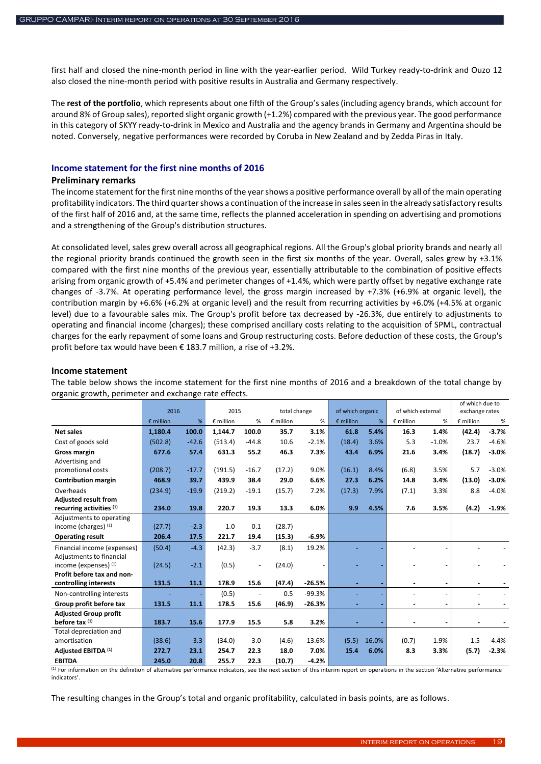first half and closed the nine-month period in line with the year-earlier period. Wild Turkey ready-to-drink and Ouzo 12 also closed the nine-month period with positive results in Australia and Germany respectively.

The **rest of the portfolio**, which represents about one fifth of the Group's sales (including agency brands, which account for around 8% of Group sales), reported slight organic growth (+1.2%) compared with the previous year. The good performance in this category of SKYY ready-to-drink in Mexico and Australia and the agency brands in Germany and Argentina should be noted. Conversely, negative performances were recorded by Coruba in New Zealand and by Zedda Piras in Italy.

### <span id="page-18-0"></span>**Income statement for the first nine months of 2016**

### **Preliminary remarks**

The income statement for the first nine months of the year shows a positive performance overall by all of the main operating profitability indicators. The third quarter shows a continuation of the increase in sales seen in the already satisfactory results of the first half of 2016 and, at the same time, reflects the planned acceleration in spending on advertising and promotions and a strengthening of the Group's distribution structures.

At consolidated level, sales grew overall across all geographical regions. All the Group's global priority brands and nearly all the regional priority brands continued the growth seen in the first six months of the year. Overall, sales grew by +3.1% compared with the first nine months of the previous year, essentially attributable to the combination of positive effects arising from organic growth of +5.4% and perimeter changes of +1.4%, which were partly offset by negative exchange rate changes of -3.7%. At operating performance level, the gross margin increased by +7.3% (+6.9% at organic level), the contribution margin by +6.6% (+6.2% at organic level) and the result from recurring activities by +6.0% (+4.5% at organic level) due to a favourable sales mix. The Group's profit before tax decreased by -26.3%, due entirely to adjustments to operating and financial income (charges); these comprised ancillary costs relating to the acquisition of SPML, contractual charges for the early repayment of some loans and Group restructuring costs. Before deduction of these costs, the Group's profit before tax would have been € 183.7 million, a rise of +3.2%.

#### **Income statement**

The table below shows the income statement for the first nine months of 2016 and a breakdown of the total change by organic growth, perimeter and exchange rate effects.

|                              |                    |         |           |                              |              |          |                    |       | of which due to   |                |                    |         |
|------------------------------|--------------------|---------|-----------|------------------------------|--------------|----------|--------------------|-------|-------------------|----------------|--------------------|---------|
|                              | 2016               |         | 2015      |                              | total change |          | of which organic   |       | of which external |                | exchange rates     |         |
|                              | $\epsilon$ million | %       | € million | %                            | € million    | %        | $\epsilon$ million | %     | $E$ million       | %              | $\epsilon$ million | %       |
| Net sales                    | 1,180.4            | 100.0   | 1,144.7   | 100.0                        | 35.7         | 3.1%     | 61.8               | 5.4%  | 16.3              | 1.4%           | (42.4)             | $-3.7%$ |
| Cost of goods sold           | (502.8)            | $-42.6$ | (513.4)   | $-44.8$                      | 10.6         | $-2.1%$  | (18.4)             | 3.6%  | 5.3               | $-1.0%$        | 23.7               | $-4.6%$ |
| <b>Gross margin</b>          | 677.6              | 57.4    | 631.3     | 55.2                         | 46.3         | 7.3%     | 43.4               | 6.9%  | 21.6              | 3.4%           | (18.7)             | $-3.0%$ |
| Advertising and              |                    |         |           |                              |              |          |                    |       |                   |                |                    |         |
| promotional costs            | (208.7)            | $-17.7$ | (191.5)   | $-16.7$                      | (17.2)       | 9.0%     | (16.1)             | 8.4%  | (6.8)             | 3.5%           | 5.7                | $-3.0%$ |
| <b>Contribution margin</b>   | 468.9              | 39.7    | 439.9     | 38.4                         | 29.0         | 6.6%     | 27.3               | 6.2%  | 14.8              | 3.4%           | (13.0)             | $-3.0%$ |
| Overheads                    | (234.9)            | $-19.9$ | (219.2)   | $-19.1$                      | (15.7)       | 7.2%     | (17.3)             | 7.9%  | (7.1)             | 3.3%           | 8.8                | $-4.0%$ |
| <b>Adjusted result from</b>  |                    |         |           |                              |              |          |                    |       |                   |                |                    |         |
| recurring activities (1)     | 234.0              | 19.8    | 220.7     | 19.3                         | 13.3         | 6.0%     | 9.9                | 4.5%  | 7.6               | 3.5%           | (4.2)              | $-1.9%$ |
| Adjustments to operating     |                    |         |           |                              |              |          |                    |       |                   |                |                    |         |
| income (charges) (1)         | (27.7)             | $-2.3$  | 1.0       | 0.1                          | (28.7)       |          |                    |       |                   |                |                    |         |
| <b>Operating result</b>      | 206.4              | 17.5    | 221.7     | 19.4                         | (15.3)       | $-6.9%$  |                    |       |                   |                |                    |         |
| Financial income (expenses)  | (50.4)             | $-4.3$  | (42.3)    | $-3.7$                       | (8.1)        | 19.2%    |                    |       |                   |                |                    |         |
| Adjustments to financial     |                    |         |           |                              |              |          |                    |       |                   |                |                    |         |
| income (expenses) (1)        | (24.5)             | $-2.1$  | (0.5)     | $\qquad \qquad \blacksquare$ | (24.0)       |          |                    |       |                   |                |                    |         |
| Profit before tax and non-   |                    |         |           |                              |              |          |                    |       |                   |                |                    |         |
| controlling interests        | 131.5              | 11.1    | 178.9     | 15.6                         | (47.4)       | $-26.5%$ |                    |       |                   |                |                    |         |
| Non-controlling interests    |                    |         | (0.5)     | $\overline{\phantom{a}}$     | 0.5          | $-99.3%$ |                    |       |                   | $\overline{a}$ |                    |         |
| Group profit before tax      | 131.5              | 11.1    | 178.5     | 15.6                         | (46.9)       | $-26.3%$ |                    |       |                   |                |                    |         |
| <b>Adjusted Group profit</b> |                    |         |           |                              |              |          |                    |       |                   |                |                    |         |
| before tax $(1)$             | 183.7              | 15.6    | 177.9     | 15.5                         | 5.8          | 3.2%     |                    |       |                   |                |                    |         |
| Total depreciation and       |                    |         |           |                              |              |          |                    |       |                   |                |                    |         |
| amortisation                 | (38.6)             | $-3.3$  | (34.0)    | $-3.0$                       | (4.6)        | 13.6%    | (5.5)              | 16.0% | (0.7)             | 1.9%           | 1.5                | $-4.4%$ |
| Adiusted EBITDA (1)          | 272.7              | 23.1    | 254.7     | 22.3                         | 18.0         | 7.0%     | 15.4               | 6.0%  | 8.3               | 3.3%           | (5.7)              | $-2.3%$ |
| <b>EBITDA</b>                | 245.0              | 20.8    | 255.7     | 22.3                         | (10.7)       | $-4.2%$  |                    |       |                   |                |                    |         |

(1) For information on the definition of alternative performance indicators, see the next section of this interim report on operations in the section 'Alternative performance indicators'.

The resulting changes in the Group's total and organic profitability, calculated in basis points, are as follows.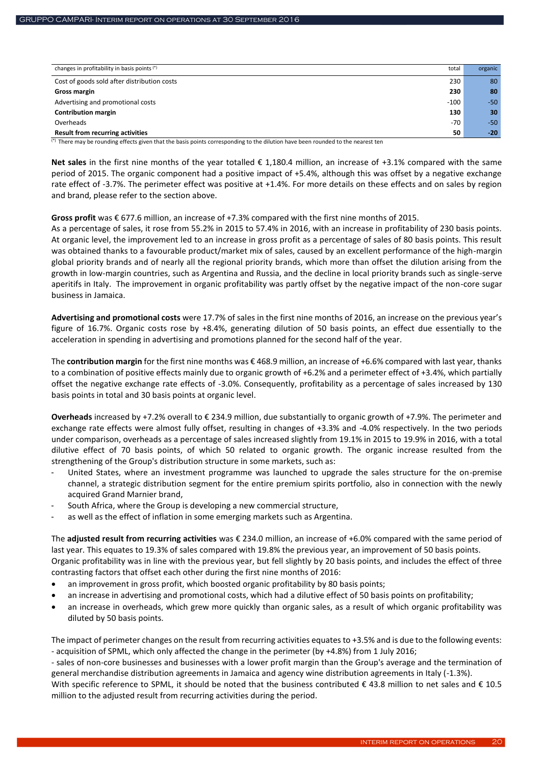| changes in profitability in basis points (*) | total  |         |
|----------------------------------------------|--------|---------|
|                                              |        | organic |
| Cost of goods sold after distribution costs  | 230    | 80      |
| Gross margin                                 | 230    | 80      |
| Advertising and promotional costs            | $-100$ | $-50$   |
| <b>Contribution margin</b>                   | 130    | 30      |
| Overheads                                    | $-70$  | $-50$   |
| <b>Result from recurring activities</b>      | 50     | $-20$   |

(\*) There may be rounding effects given that the basis points corresponding to the dilution have been rounded to the nearest ten

**Net sales** in the first nine months of the year totalled € 1,180.4 million, an increase of +3.1% compared with the same period of 2015. The organic component had a positive impact of +5.4%, although this was offset by a negative exchange rate effect of -3.7%. The perimeter effect was positive at +1.4%. For more details on these effects and on sales by region and brand, please refer to the section above.

#### **Gross profit** was € 677.6 million, an increase of +7.3% compared with the first nine months of 2015.

As a percentage of sales, it rose from 55.2% in 2015 to 57.4% in 2016, with an increase in profitability of 230 basis points. At organic level, the improvement led to an increase in gross profit as a percentage of sales of 80 basis points. This result was obtained thanks to a favourable product/market mix of sales, caused by an excellent performance of the high-margin global priority brands and of nearly all the regional priority brands, which more than offset the dilution arising from the growth in low-margin countries, such as Argentina and Russia, and the decline in local priority brands such as single-serve aperitifs in Italy. The improvement in organic profitability was partly offset by the negative impact of the non-core sugar business in Jamaica.

**Advertising and promotional costs** were 17.7% of sales in the first nine months of 2016, an increase on the previous year's figure of 16.7%. Organic costs rose by +8.4%, generating dilution of 50 basis points, an effect due essentially to the acceleration in spending in advertising and promotions planned for the second half of the year.

The **contribution margin** for the first nine months was € 468.9 million, an increase of +6.6% compared with last year, thanks to a combination of positive effects mainly due to organic growth of +6.2% and a perimeter effect of +3.4%, which partially offset the negative exchange rate effects of -3.0%. Consequently, profitability as a percentage of sales increased by 130 basis points in total and 30 basis points at organic level.

**Overheads** increased by +7.2% overall to € 234.9 million, due substantially to organic growth of +7.9%. The perimeter and exchange rate effects were almost fully offset, resulting in changes of +3.3% and -4.0% respectively. In the two periods under comparison, overheads as a percentage of sales increased slightly from 19.1% in 2015 to 19.9% in 2016, with a total dilutive effect of 70 basis points, of which 50 related to organic growth. The organic increase resulted from the strengthening of the Group's distribution structure in some markets, such as:

- United States, where an investment programme was launched to upgrade the sales structure for the on-premise channel, a strategic distribution segment for the entire premium spirits portfolio, also in connection with the newly acquired Grand Marnier brand,
- South Africa, where the Group is developing a new commercial structure,
- as well as the effect of inflation in some emerging markets such as Argentina.

The **adjusted result from recurring activities** was € 234.0 million, an increase of +6.0% compared with the same period of last year. This equates to 19.3% of sales compared with 19.8% the previous year, an improvement of 50 basis points. Organic profitability was in line with the previous year, but fell slightly by 20 basis points, and includes the effect of three contrasting factors that offset each other during the first nine months of 2016:

- an improvement in gross profit, which boosted organic profitability by 80 basis points;
- an increase in advertising and promotional costs, which had a dilutive effect of 50 basis points on profitability;
- an increase in overheads, which grew more quickly than organic sales, as a result of which organic profitability was diluted by 50 basis points.

The impact of perimeter changes on the result from recurring activities equates to +3.5% and is due to the following events: - acquisition of SPML, which only affected the change in the perimeter (by +4.8%) from 1 July 2016;

- sales of non-core businesses and businesses with a lower profit margin than the Group's average and the termination of general merchandise distribution agreements in Jamaica and agency wine distribution agreements in Italy (-1.3%).

With specific reference to SPML, it should be noted that the business contributed  $\epsilon$  43.8 million to net sales and  $\epsilon$  10.5 million to the adjusted result from recurring activities during the period.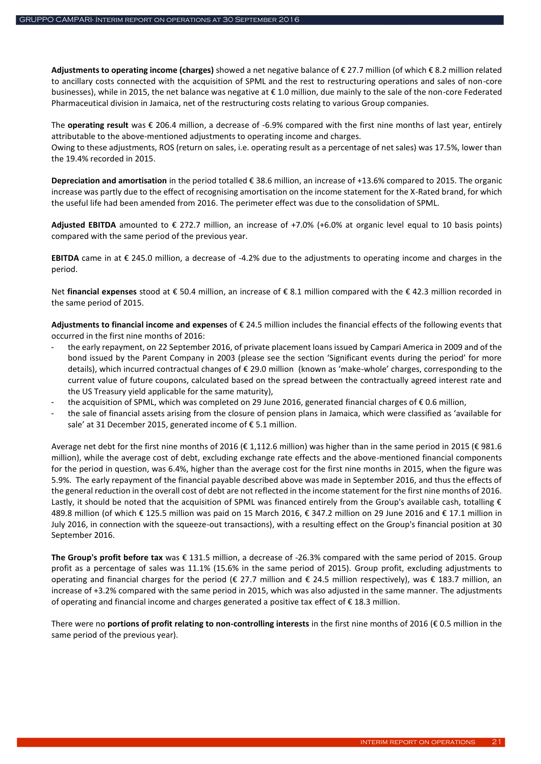**Adjustments to operating income (charges)** showed a net negative balance of € 27.7 million (of which € 8.2 million related to ancillary costs connected with the acquisition of SPML and the rest to restructuring operations and sales of non-core businesses), while in 2015, the net balance was negative at € 1.0 million, due mainly to the sale of the non-core Federated Pharmaceutical division in Jamaica, net of the restructuring costs relating to various Group companies.

The **operating result** was € 206.4 million, a decrease of -6.9% compared with the first nine months of last year, entirely attributable to the above-mentioned adjustments to operating income and charges.

Owing to these adjustments, ROS (return on sales, i.e. operating result as a percentage of net sales) was 17.5%, lower than the 19.4% recorded in 2015.

**Depreciation and amortisation** in the period totalled € 38.6 million, an increase of +13.6% compared to 2015. The organic increase was partly due to the effect of recognising amortisation on the income statement for the X-Rated brand, for which the useful life had been amended from 2016. The perimeter effect was due to the consolidation of SPML.

Adjusted EBITDA amounted to  $\epsilon$  272.7 million, an increase of +7.0% (+6.0% at organic level equal to 10 basis points) compared with the same period of the previous year.

**EBITDA** came in at € 245.0 million, a decrease of -4.2% due to the adjustments to operating income and charges in the period.

Net **financial expenses** stood at € 50.4 million, an increase of € 8.1 million compared with the € 42.3 million recorded in the same period of 2015.

**Adjustments to financial income and expenses** of € 24.5 million includes the financial effects of the following events that occurred in the first nine months of 2016:

- the early repayment, on 22 September 2016, of private placement loans issued by Campari America in 2009 and of the bond issued by the Parent Company in 2003 (please see the section 'Significant events during the period' for more details), which incurred contractual changes of € 29.0 million (known as 'make-whole' charges, corresponding to the current value of future coupons, calculated based on the spread between the contractually agreed interest rate and the US Treasury yield applicable for the same maturity),
- the acquisition of SPML, which was completed on 29 June 2016, generated financial charges of €0.6 million,
- the sale of financial assets arising from the closure of pension plans in Jamaica, which were classified as 'available for sale' at 31 December 2015, generated income of € 5.1 million.

Average net debt for the first nine months of 2016 (€ 1,112.6 million) was higher than in the same period in 2015 (€ 981.6 million), while the average cost of debt, excluding exchange rate effects and the above-mentioned financial components for the period in question, was 6.4%, higher than the average cost for the first nine months in 2015, when the figure was 5.9%. The early repayment of the financial payable described above was made in September 2016, and thus the effects of the general reduction in the overall cost of debt are not reflected in the income statement for the first nine months of 2016. Lastly, it should be noted that the acquisition of SPML was financed entirely from the Group's available cash, totalling  $\epsilon$ 489.8 million (of which € 125.5 million was paid on 15 March 2016, € 347.2 million on 29 June 2016 and € 17.1 million in July 2016, in connection with the squeeze-out transactions), with a resulting effect on the Group's financial position at 30 September 2016.

**The Group's profit before tax** was € 131.5 million, a decrease of -26.3% compared with the same period of 2015. Group profit as a percentage of sales was 11.1% (15.6% in the same period of 2015). Group profit, excluding adjustments to operating and financial charges for the period (€ 27.7 million and € 24.5 million respectively), was € 183.7 million, an increase of +3.2% compared with the same period in 2015, which was also adjusted in the same manner. The adjustments of operating and financial income and charges generated a positive tax effect of € 18.3 million.

There were no **portions of profit relating to non-controlling interests** in the first nine months of 2016 (€ 0.5 million in the same period of the previous year).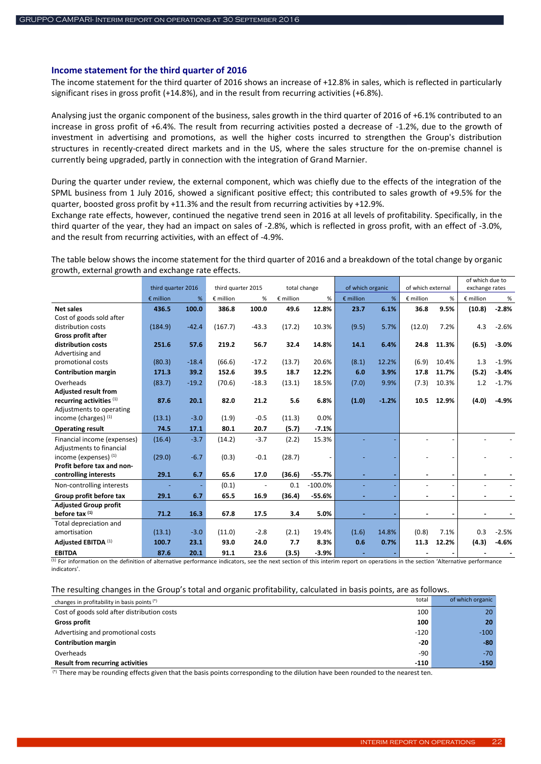#### <span id="page-21-0"></span>**Income statement for the third quarter of 2016**

The income statement for the third quarter of 2016 shows an increase of +12.8% in sales, which is reflected in particularly significant rises in gross profit (+14.8%), and in the result from recurring activities (+6.8%).

Analysing just the organic component of the business, sales growth in the third quarter of 2016 of +6.1% contributed to an increase in gross profit of +6.4%. The result from recurring activities posted a decrease of -1.2%, due to the growth of investment in advertising and promotions, as well the higher costs incurred to strengthen the Group's distribution structures in recently-created direct markets and in the US, where the sales structure for the on-premise channel is currently being upgraded, partly in connection with the integration of Grand Marnier.

During the quarter under review, the external component, which was chiefly due to the effects of the integration of the SPML business from 1 July 2016, showed a significant positive effect; this contributed to sales growth of +9.5% for the quarter, boosted gross profit by +11.3% and the result from recurring activities by +12.9%.

Exchange rate effects, however, continued the negative trend seen in 2016 at all levels of profitability. Specifically, in the third quarter of the year, they had an impact on sales of -2.8%, which is reflected in gross profit, with an effect of -3.0%, and the result from recurring activities, with an effect of -4.9%.

The table below shows the income statement for the third quarter of 2016 and a breakdown of the total change by organic growth, external growth and exchange rate effects.

|                              |                    |         |                    |         |                    |           |                    |         |                    |       | of which due to |         |
|------------------------------|--------------------|---------|--------------------|---------|--------------------|-----------|--------------------|---------|--------------------|-------|-----------------|---------|
|                              | third quarter 2016 |         | third quarter 2015 |         | total change       |           | of which organic   |         | of which external  |       | exchange rates  |         |
|                              | $\epsilon$ million | %       | $E$ million        | %       | $\epsilon$ million | %         | $\epsilon$ million | %       | $\epsilon$ million | %     | € million       | %       |
| <b>Net sales</b>             | 436.5              | 100.0   | 386.8              | 100.0   | 49.6               | 12.8%     | 23.7               | 6.1%    | 36.8               | 9.5%  | (10.8)          | $-2.8%$ |
| Cost of goods sold after     |                    |         |                    |         |                    |           |                    |         |                    |       |                 |         |
| distribution costs           | (184.9)            | $-42.4$ | (167.7)            | $-43.3$ | (17.2)             | 10.3%     | (9.5)              | 5.7%    | (12.0)             | 7.2%  | 4.3             | $-2.6%$ |
| <b>Gross profit after</b>    |                    |         |                    |         |                    |           |                    |         |                    |       |                 |         |
| distribution costs           | 251.6              | 57.6    | 219.2              | 56.7    | 32.4               | 14.8%     | 14.1               | 6.4%    | 24.8               | 11.3% | (6.5)           | $-3.0%$ |
| Advertising and              |                    |         |                    |         |                    |           |                    |         |                    |       |                 |         |
| promotional costs            | (80.3)             | $-18.4$ | (66.6)             | $-17.2$ | (13.7)             | 20.6%     | (8.1)              | 12.2%   | (6.9)              | 10.4% | 1.3             | $-1.9%$ |
| <b>Contribution margin</b>   | 171.3              | 39.2    | 152.6              | 39.5    | 18.7               | 12.2%     | 6.0                | 3.9%    | 17.8               | 11.7% | (5.2)           | $-3.4%$ |
| Overheads                    | (83.7)             | $-19.2$ | (70.6)             | $-18.3$ | (13.1)             | 18.5%     | (7.0)              | 9.9%    | (7.3)              | 10.3% | 1.2             | $-1.7%$ |
| <b>Adjusted result from</b>  |                    |         |                    |         |                    |           |                    |         |                    |       |                 |         |
| recurring activities (1)     | 87.6               | 20.1    | 82.0               | 21.2    | 5.6                | 6.8%      | (1.0)              | $-1.2%$ | 10.5               | 12.9% | (4.0)           | $-4.9%$ |
| Adjustments to operating     |                    |         |                    |         |                    |           |                    |         |                    |       |                 |         |
| income (charges) (1)         | (13.1)             | $-3.0$  | (1.9)              | $-0.5$  | (11.3)             | 0.0%      |                    |         |                    |       |                 |         |
| <b>Operating result</b>      | 74.5               | 17.1    | 80.1               | 20.7    | (5.7)              | $-7.1%$   |                    |         |                    |       |                 |         |
| Financial income (expenses)  | (16.4)             | $-3.7$  | (14.2)             | $-3.7$  | (2.2)              | 15.3%     |                    |         |                    |       |                 |         |
| Adjustments to financial     |                    |         |                    |         |                    |           |                    |         |                    |       |                 |         |
| income (expenses) (1)        | (29.0)             | $-6.7$  | (0.3)              | $-0.1$  | (28.7)             |           |                    |         |                    |       |                 |         |
| Profit before tax and non-   |                    |         |                    |         |                    |           |                    |         |                    |       |                 |         |
| controlling interests        | 29.1               | 6.7     | 65.6               | 17.0    | (36.6)             | $-55.7%$  |                    |         |                    |       |                 |         |
| Non-controlling interests    |                    |         | (0.1)              |         | 0.1                | $-100.0%$ |                    |         |                    |       |                 |         |
| Group profit before tax      | 29.1               | 6.7     | 65.5               | 16.9    | (36.4)             | $-55.6%$  |                    |         |                    |       |                 |         |
| <b>Adjusted Group profit</b> |                    |         |                    |         |                    |           |                    |         |                    |       |                 |         |
| before tax $(1)$             | 71.2               | 16.3    | 67.8               | 17.5    | 3.4                | 5.0%      |                    |         |                    |       |                 |         |
| Total depreciation and       |                    |         |                    |         |                    |           |                    |         |                    |       |                 |         |
| amortisation                 | (13.1)             | $-3.0$  | (11.0)             | $-2.8$  | (2.1)              | 19.4%     | (1.6)              | 14.8%   | (0.8)              | 7.1%  | 0.3             | $-2.5%$ |
| Adjusted EBITDA (1)          | 100.7              | 23.1    | 93.0               | 24.0    | 7.7                | 8.3%      | 0.6                | 0.7%    | 11.3               | 12.2% | (4.3)           | $-4.6%$ |
| <b>EBITDA</b>                | 87.6               | 20.1    | 91.1               | 23.6    | (3.5)              | $-3.9%$   |                    |         |                    |       |                 |         |

 $\frac{1}{12}$  For information on the definition of alternative performance indicators, see the next section of this interim report on operations in the section 'Alternative performance indicators'.

The resulting changes in the Group's total and organic profitability, calculated in basis points, are as follows.

| changes in profitability in basis points (*) | total  | of which organic |
|----------------------------------------------|--------|------------------|
| Cost of goods sold after distribution costs  | 100    | 20               |
| <b>Gross profit</b>                          | 100    | 20               |
| Advertising and promotional costs            | $-120$ | $-100$           |
| <b>Contribution margin</b>                   | $-20$  | $-80$            |
| Overheads                                    | $-90$  | $-70$            |
| <b>Result from recurring activities</b>      | $-110$ | $-150$           |

(\*) There may be rounding effects given that the basis points corresponding to the dilution have been rounded to the nearest ten.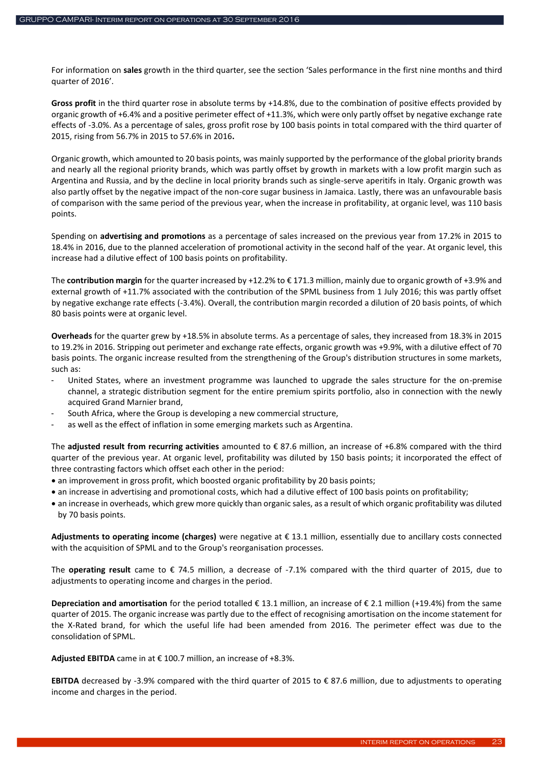For information on **sales** growth in the third quarter, see the section 'Sales performance in the first nine months and third quarter of 2016'.

**Gross profit** in the third quarter rose in absolute terms by +14.8%, due to the combination of positive effects provided by organic growth of +6.4% and a positive perimeter effect of +11.3%, which were only partly offset by negative exchange rate effects of -3.0%. As a percentage of sales, gross profit rose by 100 basis points in total compared with the third quarter of 2015, rising from 56.7% in 2015 to 57.6% in 2016**.**

Organic growth, which amounted to 20 basis points, was mainly supported by the performance of the global priority brands and nearly all the regional priority brands, which was partly offset by growth in markets with a low profit margin such as Argentina and Russia, and by the decline in local priority brands such as single-serve aperitifs in Italy. Organic growth was also partly offset by the negative impact of the non-core sugar business in Jamaica. Lastly, there was an unfavourable basis of comparison with the same period of the previous year, when the increase in profitability, at organic level, was 110 basis points.

Spending on **advertising and promotions** as a percentage of sales increased on the previous year from 17.2% in 2015 to 18.4% in 2016, due to the planned acceleration of promotional activity in the second half of the year. At organic level, this increase had a dilutive effect of 100 basis points on profitability.

The **contribution margin** for the quarter increased by +12.2% to € 171.3 million, mainly due to organic growth of +3.9% and external growth of +11.7% associated with the contribution of the SPML business from 1 July 2016; this was partly offset by negative exchange rate effects (-3.4%). Overall, the contribution margin recorded a dilution of 20 basis points, of which 80 basis points were at organic level.

**Overheads** for the quarter grew by +18.5% in absolute terms. As a percentage of sales, they increased from 18.3% in 2015 to 19.2% in 2016. Stripping out perimeter and exchange rate effects, organic growth was +9.9%, with a dilutive effect of 70 basis points. The organic increase resulted from the strengthening of the Group's distribution structures in some markets, such as:

- United States, where an investment programme was launched to upgrade the sales structure for the on-premise channel, a strategic distribution segment for the entire premium spirits portfolio, also in connection with the newly acquired Grand Marnier brand,
- South Africa, where the Group is developing a new commercial structure,
- as well as the effect of inflation in some emerging markets such as Argentina.

The **adjusted result from recurring activities** amounted to € 87.6 million, an increase of +6.8% compared with the third quarter of the previous year. At organic level, profitability was diluted by 150 basis points; it incorporated the effect of three contrasting factors which offset each other in the period:

- an improvement in gross profit, which boosted organic profitability by 20 basis points;
- an increase in advertising and promotional costs, which had a dilutive effect of 100 basis points on profitability;
- an increase in overheads, which grew more quickly than organic sales, as a result of which organic profitability was diluted by 70 basis points.

**Adjustments to operating income (charges)** were negative at € 13.1 million, essentially due to ancillary costs connected with the acquisition of SPML and to the Group's reorganisation processes.

The **operating result** came to € 74.5 million, a decrease of -7.1% compared with the third quarter of 2015, due to adjustments to operating income and charges in the period.

**Depreciation and amortisation** for the period totalled € 13.1 million, an increase of € 2.1 million (+19.4%) from the same quarter of 2015. The organic increase was partly due to the effect of recognising amortisation on the income statement for the X-Rated brand, for which the useful life had been amended from 2016. The perimeter effect was due to the consolidation of SPML.

**Adjusted EBITDA** came in at € 100.7 million, an increase of +8.3%.

**EBITDA** decreased by -3.9% compared with the third quarter of 2015 to € 87.6 million, due to adjustments to operating income and charges in the period.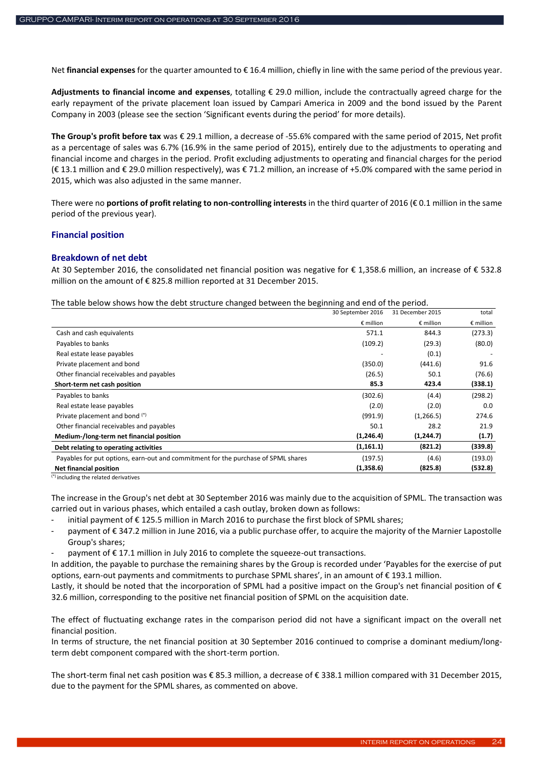Net **financial expenses** for the quarter amounted to € 16.4 million, chiefly in line with the same period of the previous year.

**Adjustments to financial income and expenses**, totalling € 29.0 million, include the contractually agreed charge for the early repayment of the private placement loan issued by Campari America in 2009 and the bond issued by the Parent Company in 2003 (please see the section 'Significant events during the period' for more details).

**The Group's profit before tax** was € 29.1 million, a decrease of -55.6% compared with the same period of 2015, Net profit as a percentage of sales was 6.7% (16.9% in the same period of 2015), entirely due to the adjustments to operating and financial income and charges in the period. Profit excluding adjustments to operating and financial charges for the period (€ 13.1 million and € 29.0 million respectively), was € 71.2 million, an increase of +5.0% compared with the same period in 2015, which was also adjusted in the same manner.

There were no **portions of profit relating to non-controlling interests** in the third quarter of 2016 (€ 0.1 million in the same period of the previous year).

### <span id="page-23-0"></span>**Financial position**

### <span id="page-23-1"></span>**Breakdown of net debt**

At 30 September 2016, the consolidated net financial position was negative for € 1,358.6 million, an increase of € 532.8 million on the amount of € 825.8 million reported at 31 December 2015.

The table below shows how the debt structure changed between the beginning and end of the period.

|                                                                                   | 30 September 2016  | 31 December 2015   | total              |
|-----------------------------------------------------------------------------------|--------------------|--------------------|--------------------|
|                                                                                   | $\epsilon$ million | $\epsilon$ million | $\epsilon$ million |
| Cash and cash equivalents                                                         | 571.1              | 844.3              | (273.3)            |
| Payables to banks                                                                 | (109.2)            | (29.3)             | (80.0)             |
| Real estate lease payables                                                        |                    | (0.1)              |                    |
| Private placement and bond                                                        | (350.0)            | (441.6)            | 91.6               |
| Other financial receivables and payables                                          | (26.5)             | 50.1               | (76.6)             |
| Short-term net cash position                                                      | 85.3               | 423.4              | (338.1)            |
| Payables to banks                                                                 | (302.6)            | (4.4)              | (298.2)            |
| Real estate lease payables                                                        | (2.0)              | (2.0)              | 0.0                |
| Private placement and bond (*)                                                    | (991.9)            | (1,266.5)          | 274.6              |
| Other financial receivables and payables                                          | 50.1               | 28.2               | 21.9               |
| Medium-/long-term net financial position                                          | (1, 246.4)         | (1,244.7)          | (1.7)              |
| Debt relating to operating activities                                             | (1, 161.1)         | (821.2)            | (339.8)            |
| Payables for put options, earn-out and commitment for the purchase of SPML shares | (197.5)            | (4.6)              | (193.0)            |
| <b>Net financial position</b>                                                     | (1,358.6)          | (825.8)            | (532.8)            |

(\*) including the related derivatives

The increase in the Group's net debt at 30 September 2016 was mainly due to the acquisition of SPML. The transaction was carried out in various phases, which entailed a cash outlay, broken down as follows:

initial payment of €125.5 million in March 2016 to purchase the first block of SPML shares;

- payment of € 347.2 million in June 2016, via a public purchase offer, to acquire the majority of the Marnier Lapostolle Group's shares;
- payment of  $\epsilon$  17.1 million in July 2016 to complete the squeeze-out transactions.

In addition, the payable to purchase the remaining shares by the Group is recorded under 'Payables for the exercise of put options, earn-out payments and commitments to purchase SPML shares', in an amount of  $\epsilon$  193.1 million.

Lastly, it should be noted that the incorporation of SPML had a positive impact on the Group's net financial position of  $\epsilon$ 32.6 million, corresponding to the positive net financial position of SPML on the acquisition date.

The effect of fluctuating exchange rates in the comparison period did not have a significant impact on the overall net financial position.

In terms of structure, the net financial position at 30 September 2016 continued to comprise a dominant medium/longterm debt component compared with the short-term portion.

The short-term final net cash position was € 85.3 million, a decrease of € 338.1 million compared with 31 December 2015, due to the payment for the SPML shares, as commented on above.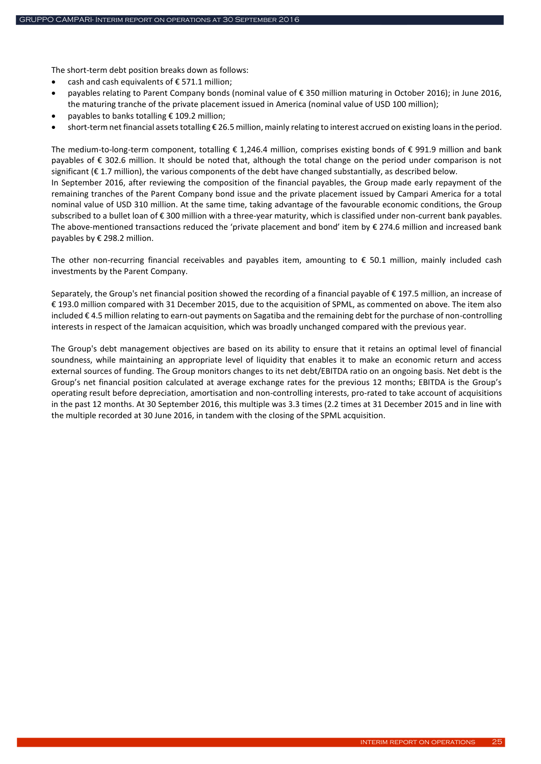The short-term debt position breaks down as follows:

- cash and cash equivalents of  $\epsilon$  571.1 million:
- payables relating to Parent Company bonds (nominal value of € 350 million maturing in October 2016); in June 2016, the maturing tranche of the private placement issued in America (nominal value of USD 100 million);
- payables to banks totalling € 109.2 million;
- short-term net financial assets totalling € 26.5 million, mainly relating to interest accrued on existing loans in the period.

The medium-to-long-term component, totalling € 1,246.4 million, comprises existing bonds of € 991.9 million and bank payables of € 302.6 million. It should be noted that, although the total change on the period under comparison is not significant (€ 1.7 million), the various components of the debt have changed substantially, as described below. In September 2016, after reviewing the composition of the financial payables, the Group made early repayment of the remaining tranches of the Parent Company bond issue and the private placement issued by Campari America for a total nominal value of USD 310 million. At the same time, taking advantage of the favourable economic conditions, the Group subscribed to a bullet loan of € 300 million with a three-year maturity, which is classified under non-current bank payables. The above-mentioned transactions reduced the 'private placement and bond' item by € 274.6 million and increased bank payables by € 298.2 million.

The other non-recurring financial receivables and payables item, amounting to € 50.1 million, mainly included cash investments by the Parent Company.

Separately, the Group's net financial position showed the recording of a financial payable of € 197.5 million, an increase of € 193.0 million compared with 31 December 2015, due to the acquisition of SPML, as commented on above. The item also included € 4.5 million relating to earn-out payments on Sagatiba and the remaining debt for the purchase of non-controlling interests in respect of the Jamaican acquisition, which was broadly unchanged compared with the previous year.

The Group's debt management objectives are based on its ability to ensure that it retains an optimal level of financial soundness, while maintaining an appropriate level of liquidity that enables it to make an economic return and access external sources of funding. The Group monitors changes to its net debt/EBITDA ratio on an ongoing basis. Net debt is the Group's net financial position calculated at average exchange rates for the previous 12 months; EBITDA is the Group's operating result before depreciation, amortisation and non-controlling interests, pro-rated to take account of acquisitions in the past 12 months. At 30 September 2016, this multiple was 3.3 times (2.2 times at 31 December 2015 and in line with the multiple recorded at 30 June 2016, in tandem with the closing of the SPML acquisition.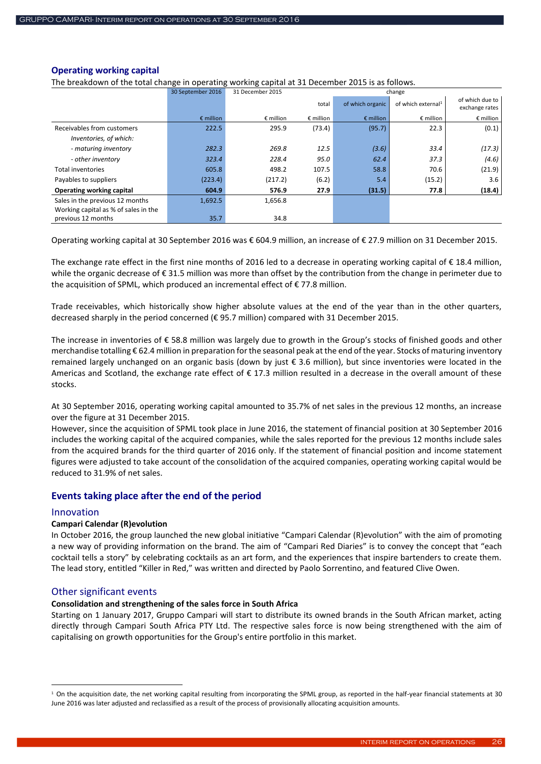### <span id="page-25-0"></span>**Operating working capital**

The breakdown of the total change in operating working capital at 31 December 2015 is as follows.

|                                      | 30 September 2016  | 31 December 2015   | change             |                    |                                |                                   |  |
|--------------------------------------|--------------------|--------------------|--------------------|--------------------|--------------------------------|-----------------------------------|--|
|                                      |                    |                    | total              | of which organic   | of which external <sup>1</sup> | of which due to<br>exchange rates |  |
|                                      | $\epsilon$ million | $\epsilon$ million | $\epsilon$ million | $\epsilon$ million | $\epsilon$ million             | $\epsilon$ million                |  |
| Receivables from customers           | 222.5              | 295.9              | (73.4)             | (95.7)             | 22.3                           | (0.1)                             |  |
| Inventories, of which:               |                    |                    |                    |                    |                                |                                   |  |
| - maturing inventory                 | 282.3              | 269.8              | 12.5               | (3.6)              | 33.4                           | (17.3)                            |  |
| - other inventory                    | 323.4              | 228.4              | 95.0               | 62.4               | 37.3                           | (4.6)                             |  |
| <b>Total inventories</b>             | 605.8              | 498.2              | 107.5              | 58.8               | 70.6                           | (21.9)                            |  |
| Payables to suppliers                | (223.4)            | (217.2)            | (6.2)              | 5.4                | (15.2)                         | 3.6                               |  |
| Operating working capital            | 604.9              | 576.9              | 27.9               | (31.5)             | 77.8                           | (18.4)                            |  |
| Sales in the previous 12 months      | 1,692.5            | 1,656.8            |                    |                    |                                |                                   |  |
| Working capital as % of sales in the |                    |                    |                    |                    |                                |                                   |  |
| previous 12 months                   | 35.7               | 34.8               |                    |                    |                                |                                   |  |

Operating working capital at 30 September 2016 was € 604.9 million, an increase of € 27.9 million on 31 December 2015.

The exchange rate effect in the first nine months of 2016 led to a decrease in operating working capital of € 18.4 million, while the organic decrease of € 31.5 million was more than offset by the contribution from the change in perimeter due to the acquisition of SPML, which produced an incremental effect of  $\epsilon$  77.8 million.

Trade receivables, which historically show higher absolute values at the end of the year than in the other quarters, decreased sharply in the period concerned (€ 95.7 million) compared with 31 December 2015.

The increase in inventories of € 58.8 million was largely due to growth in the Group's stocks of finished goods and other merchandise totalling € 62.4 million in preparation for the seasonal peak at the end of the year. Stocks of maturing inventory remained largely unchanged on an organic basis (down by just € 3.6 million), but since inventories were located in the Americas and Scotland, the exchange rate effect of  $\epsilon$  17.3 million resulted in a decrease in the overall amount of these stocks.

At 30 September 2016, operating working capital amounted to 35.7% of net sales in the previous 12 months, an increase over the figure at 31 December 2015.

However, since the acquisition of SPML took place in June 2016, the statement of financial position at 30 September 2016 includes the working capital of the acquired companies, while the sales reported for the previous 12 months include sales from the acquired brands for the third quarter of 2016 only. If the statement of financial position and income statement figures were adjusted to take account of the consolidation of the acquired companies, operating working capital would be reduced to 31.9% of net sales.

# <span id="page-25-1"></span>**Events taking place after the end of the period**

### Innovation

**.** 

### **Campari Calendar (R)evolution**

In October 2016, the group launched the new global initiative "Campari Calendar (R)evolution" with the aim of promoting a new way of providing information on the brand. The aim of "Campari Red Diaries" is to convey the concept that "each cocktail tells a story" by celebrating cocktails as an art form, and the experiences that inspire bartenders to create them. The lead story, entitled "Killer in Red," was written and directed by Paolo Sorrentino, and featured Clive Owen.

### Other significant events

### **Consolidation and strengthening of the sales force in South Africa**

Starting on 1 January 2017, Gruppo Campari will start to distribute its owned brands in the South African market, acting directly through Campari South Africa PTY Ltd. The respective sales force is now being strengthened with the aim of capitalising on growth opportunities for the Group's entire portfolio in this market.

<sup>&</sup>lt;sup>1</sup> On the acquisition date, the net working capital resulting from incorporating the SPML group, as reported in the half-year financial statements at 30 June 2016 was later adjusted and reclassified as a result of the process of provisionally allocating acquisition amounts.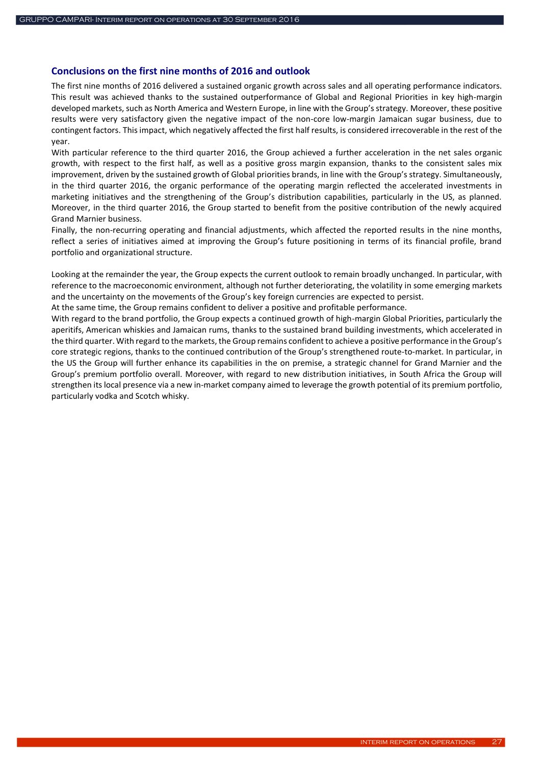### <span id="page-26-0"></span>**Conclusions on the first nine months of 2016 and outlook**

The first nine months of 2016 delivered a sustained organic growth across sales and all operating performance indicators. This result was achieved thanks to the sustained outperformance of Global and Regional Priorities in key high-margin developed markets, such as North America and Western Europe, in line with the Group's strategy. Moreover, these positive results were very satisfactory given the negative impact of the non-core low-margin Jamaican sugar business, due to contingent factors. This impact, which negatively affected the first half results, is considered irrecoverable in the rest of the year.

With particular reference to the third quarter 2016, the Group achieved a further acceleration in the net sales organic growth, with respect to the first half, as well as a positive gross margin expansion, thanks to the consistent sales mix improvement, driven by the sustained growth of Global priorities brands, in line with the Group's strategy. Simultaneously, in the third quarter 2016, the organic performance of the operating margin reflected the accelerated investments in marketing initiatives and the strengthening of the Group's distribution capabilities, particularly in the US, as planned. Moreover, in the third quarter 2016, the Group started to benefit from the positive contribution of the newly acquired Grand Marnier business.

Finally, the non-recurring operating and financial adjustments, which affected the reported results in the nine months, reflect a series of initiatives aimed at improving the Group's future positioning in terms of its financial profile, brand portfolio and organizational structure.

Looking at the remainder the year, the Group expects the current outlook to remain broadly unchanged. In particular, with reference to the macroeconomic environment, although not further deteriorating, the volatility in some emerging markets and the uncertainty on the movements of the Group's key foreign currencies are expected to persist.

At the same time, the Group remains confident to deliver a positive and profitable performance.

With regard to the brand portfolio, the Group expects a continued growth of high-margin Global Priorities, particularly the aperitifs, American whiskies and Jamaican rums, thanks to the sustained brand building investments, which accelerated in the third quarter. With regard to the markets, the Group remains confident to achieve a positive performance in the Group's core strategic regions, thanks to the continued contribution of the Group's strengthened route-to-market. In particular, in the US the Group will further enhance its capabilities in the on premise, a strategic channel for Grand Marnier and the Group's premium portfolio overall. Moreover, with regard to new distribution initiatives, in South Africa the Group will strengthen itslocal presence via a new in-market company aimed to leverage the growth potential of its premium portfolio, particularly vodka and Scotch whisky.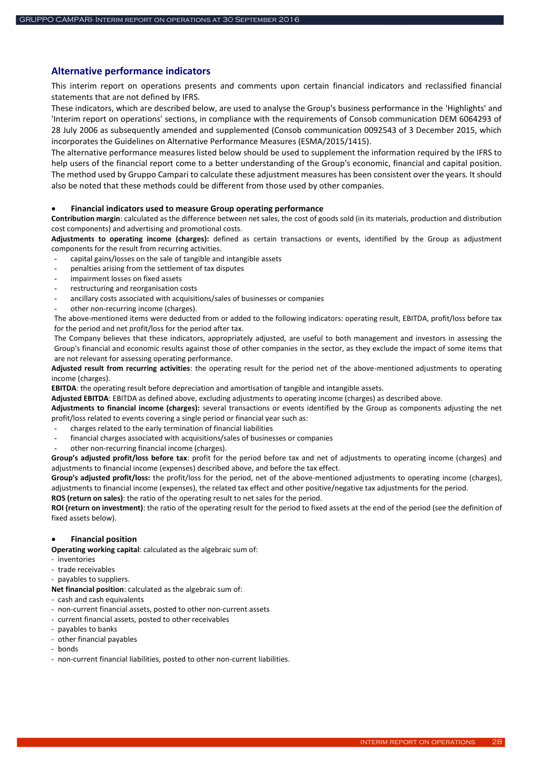# <span id="page-27-0"></span>**Alternative performance indicators**

This interim report on operations presents and comments upon certain financial indicators and reclassified financial statements that are not defined by IFRS.

These indicators, which are described below, are used to analyse the Group's business performance in the 'Highlights' and 'Interim report on operations' sections, in compliance with the requirements of Consob communication DEM 6064293 of 28 July 2006 as subsequently amended and supplemented (Consob communication 0092543 of 3 December 2015, which incorporates the Guidelines on Alternative Performance Measures (ESMA/2015/1415).

The alternative performance measures listed below should be used to supplement the information required by the IFRS to help users of the financial report come to a better understanding of the Group's economic, financial and capital position. The method used by Gruppo Campari to calculate these adjustment measures has been consistent over the years. It should also be noted that these methods could be different from those used by other companies.

#### **Financial indicators used to measure Group operating performance**

**Contribution margin**: calculated as the difference between net sales, the cost of goods sold (in its materials, production and distribution cost components) and advertising and promotional costs.

**Adjustments to operating income (charges):** defined as certain transactions or events, identified by the Group as adjustment components for the result from recurring activities.

- capital gains/losses on the sale of tangible and intangible assets
- penalties arising from the settlement of tax disputes
- impairment losses on fixed assets
- restructuring and reorganisation costs
- ancillary costs associated with acquisitions/sales of businesses or companies
- other non-recurring income (charges).

The above-mentioned items were deducted from or added to the following indicators: operating result, EBITDA, profit/loss before tax for the period and net profit/loss for the period after tax.

The Company believes that these indicators, appropriately adjusted, are useful to both management and investors in assessing the Group's financial and economic results against those of other companies in the sector, as they exclude the impact of some items that are not relevant for assessing operating performance.

**Adjusted result from recurring activities**: the operating result for the period net of the above-mentioned adjustments to operating income (charges).

**EBITDA**: the operating result before depreciation and amortisation of tangible and intangible assets.

**Adjusted EBITDA**: EBITDA as defined above, excluding adjustments to operating income (charges) as described above.

**Adjustments to financial income (charges):** several transactions or events identified by the Group as components adjusting the net profit/loss related to events covering a single period or financial year such as:

- charges related to the early termination of financial liabilities
- financial charges associated with acquisitions/sales of businesses or companies
- other non-recurring financial income (charges).

**Group's adjusted profit/loss before tax**: profit for the period before tax and net of adjustments to operating income (charges) and adjustments to financial income (expenses) described above, and before the tax effect.

**Group's adjusted profit/loss:** the profit/loss for the period, net of the above-mentioned adjustments to operating income (charges), adjustments to financial income (expenses), the related tax effect and other positive/negative tax adjustments for the period.

**ROS (return on sales)**: the ratio of the operating result to net sales for the period.

**ROI (return on investment)**: the ratio of the operating result for the period to fixed assets at the end of the period (see the definition of fixed assets below).

### **Financial position**

**Operating working capital**: calculated as the algebraic sum of:

- inventories
- trade receivables
- payables to suppliers.
- **Net financial position**: calculated as the algebraic sum of:
- cash and cash equivalents
- non-current financial assets, posted to other non-current assets
- current financial assets, posted to other receivables
- payables to banks
- other financial payables
- bonds
- non-current financial liabilities, posted to other non-current liabilities.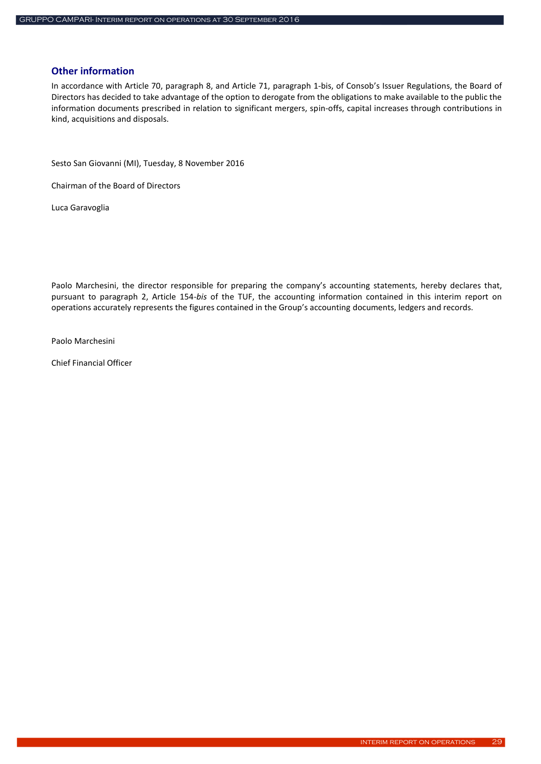### <span id="page-28-0"></span>**Other information**

In accordance with Article 70, paragraph 8, and Article 71, paragraph 1-bis, of Consob's Issuer Regulations, the Board of Directors has decided to take advantage of the option to derogate from the obligations to make available to the public the information documents prescribed in relation to significant mergers, spin-offs, capital increases through contributions in kind, acquisitions and disposals.

Sesto San Giovanni (MI), Tuesday, 8 November 2016

Chairman of the Board of Directors

Luca Garavoglia

Paolo Marchesini, the director responsible for preparing the company's accounting statements, hereby declares that, pursuant to paragraph 2, Article 154-*bis* of the TUF, the accounting information contained in this interim report on operations accurately represents the figures contained in the Group's accounting documents, ledgers and records.

Paolo Marchesini

Chief Financial Officer